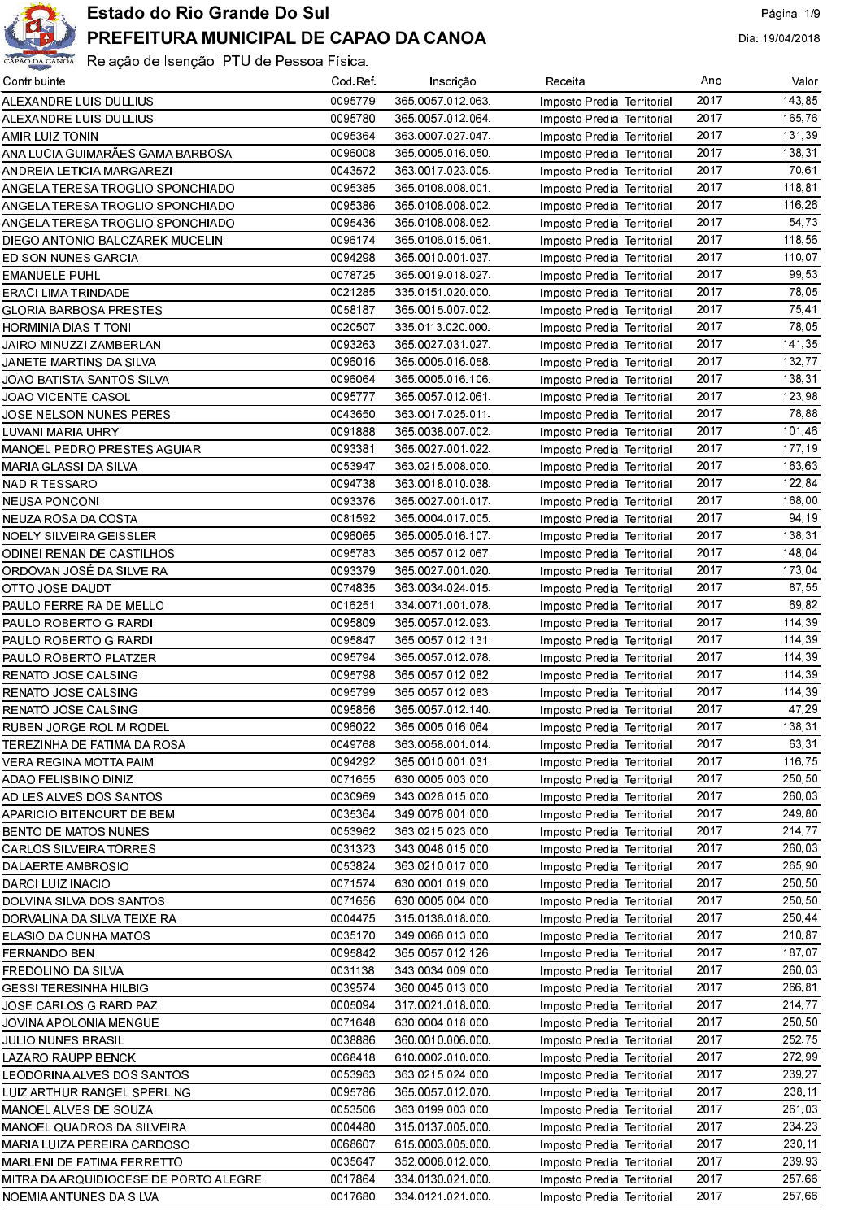

| Contribuinte                          | Cod Ref | Inscrição        | Receita                            | Ano  | Valor  |
|---------------------------------------|---------|------------------|------------------------------------|------|--------|
| ALEXANDRE LUIS DULLIUS                | 0095779 | 365 0057 012 063 | <b>Imposto Predial Territorial</b> | 2017 | 143,85 |
| ALEXANDRE LUIS DULLIUS                | 0095780 | 365 0057 012 064 | Imposto Predial Territorial        | 2017 | 165.76 |
| AMIR LUIZ TONIN                       | 0095364 | 363 0007 027 047 | Imposto Predial Territorial        | 2017 | 131,39 |
| ANA LUCIA GUIMARÃES GAMA BARBOSA      | 0096008 | 365 0005 016 050 | Imposto Predial Territorial        | 2017 | 138.31 |
| ANDREIA LETICIA MARGAREZI             | 0043572 | 363 0017 023 005 | Imposto Predial Territorial        | 2017 | 70.61  |
| ANGELA TERESA TROGLIO SPONCHIADO      | 0095385 | 365 0108 008 001 | Imposto Predial Territorial        | 2017 | 118.81 |
| ANGELA TERESA TROGLIO SPONCHIADO      | 0095386 | 365 0108 008 002 | Imposto Predial Territorial        | 2017 | 116,26 |
| ANGELA TERESA TROGLIO SPONCHIADO      | 0095436 | 365 0108 008 052 | Imposto Predial Territorial        | 2017 | 54 73  |
| DIEGO ANTONIO BALCZAREK MUCELIN       | 0096174 | 365 0106 015 061 | Imposto Predial Territorial        | 2017 | 118,56 |
| EDISON NUNES GARCIA                   | 0094298 | 365 0010 001 037 | Imposto Predial Territorial        | 2017 | 110,07 |
| <b>EMANUELE PUHL</b>                  | 0078725 | 365 0019 018 027 | Imposto Predial Territorial        | 2017 | 99.53  |
| ERACI LIMA TRINDADE                   | 0021285 | 335 0151 020 000 | Imposto Predial Territorial        | 2017 | 78.05  |
| GLORIA BARBOSA PRESTES                | 0058187 | 365 0015 007 002 | Imposto Predial Territorial        | 2017 | 75.41  |
| HORMINIA DIAS TITONI                  | 0020507 | 335 0113 020 000 | Imposto Predial Territorial        | 2017 | 78,05  |
| UAIRO MINUZZI ZAMBERLAN               | 0093263 | 365 0027 031 027 | Imposto Predial Territorial        | 2017 | 141,35 |
| UANETE MARTINS DA SILVA               | 0096016 | 365 0005 016 058 | Imposto Predial Territorial        | 2017 | 132,77 |
| JOAO BATISTA SANTOS SILVA             | 0096064 | 365 0005 016 106 | Imposto Predial Territorial        | 2017 | 138,31 |
| JOAO VICENTE CASOL                    | 0095777 | 365 0057 012 061 | Imposto Predial Territorial        | 2017 | 123,98 |
| JOSE NELSON NUNES PERES               | 0043650 | 363 0017 025 011 | Imposto Predial Territorial        | 2017 | 78.88  |
| LUVANI MARIA UHRY                     | 0091888 | 365 0038 007 002 | Imposto Predial Territorial        | 2017 | 101,46 |
| MANOEL PEDRO PRESTES AGUIAR           | 0093381 | 365 0027 001 022 | Imposto Predial Territorial        | 2017 | 177,19 |
|                                       | 0053947 |                  |                                    | 2017 | 163,63 |
| MARIA GLASSI DA SILVA                 |         | 363 0215 008 000 | Imposto Predial Territorial        | 2017 | 122,84 |
| NADIR TESSARO                         | 0094738 | 363 0018 010 038 | Imposto Predial Territorial        | 2017 |        |
| NEUSA PONCONI                         | 0093376 | 365 0027 001 017 | Imposto Predial Territorial        |      | 168,00 |
| NEUZA ROSA DA COSTA                   | 0081592 | 365 0004 017 005 | Imposto Predial Territorial        | 2017 | 94.19  |
| NOELY SILVEIRA GEISSLER               | 0096065 | 365 0005 016 107 | Imposto Predial Territorial        | 2017 | 138,31 |
| JODINEI RENAN DE CASTILHOS            | 0095783 | 365 0057 012 067 | Imposto Predial Territorial        | 2017 | 148,04 |
| ORDOVAN JOSÉ DA SILVEIRA              | 0093379 | 365 0027 001 020 | Imposto Predial Territorial        | 2017 | 173,04 |
| OTTO JOSE DAUDT                       | 0074835 | 363 0034 024 015 | Imposto Predial Territorial        | 2017 | 87 55  |
| PAULO FERREIRA DE MELLO               | 0016251 | 334 0071 001 078 | Imposto Predial Territorial        | 2017 | 69.82  |
| PAULO ROBERTO GIRARDI                 | 0095809 | 365 0057 012 093 | Imposto Predial Territorial        | 2017 | 114,39 |
| PAULO ROBERTO GIRARDI                 | 0095847 | 365 0057 012 131 | Imposto Predial Territorial        | 2017 | 114.39 |
| PAULO ROBERTO PLATZER                 | 0095794 | 365 0057 012 078 | Imposto Predial Territorial        | 2017 | 114,39 |
| <b>RENATO JOSE CALSING</b>            | 0095798 | 365 0057 012 082 | Imposto Predial Territorial        | 2017 | 114,39 |
| <b>RENATO JOSE CALSING</b>            | 0095799 | 365 0057 012 083 | Imposto Predial Territorial        | 2017 | 114,39 |
| <b>RENATO JOSE CALSING</b>            | 0095856 | 365 0057 012 140 | Imposto Predial Territorial        | 2017 | 47.29  |
| RUBEN JORGE ROLIM RODEL               | 0096022 | 365 0005 016 064 | Imposto Predial Territorial        | 2017 | 138,31 |
| ITEREZINHA DE FATIMA DA ROSA          | 0049768 | 363 0058 001 014 | Imposto Predial Territorial        | 2017 | 63,31  |
| VERA REGINA MOTTA PAIM                | 0094292 | 365 0010 001 031 | Imposto Predial Territorial        | 2017 | 116,75 |
| ADAO FELISBINO DINIZ                  | 0071655 | 630 0005 003 000 | Imposto Predial Territorial        | 2017 | 250,50 |
| ADILES ALVES DOS SANTOS               | 0030969 | 343 0026 015 000 | Imposto Predial Territorial        | 2017 | 260,03 |
| APARICIO BITENCURT DE BEM             | 0035364 | 349 0078 001 000 | Imposto Predial Territorial        | 2017 | 249,80 |
| BENTO DE MATOS NUNES                  | 0053962 | 363 0215 023 000 | Imposto Predial Territorial        | 2017 | 214,77 |
| ICARLOS SILVEIRA TORRES               | 0031323 | 343 0048 015 000 | Imposto Predial Territorial        | 2017 | 260,03 |
| DALAERTE AMBROSIO                     | 0053824 | 363 0210 017 000 | Imposto Predial Territorial        | 2017 | 265,90 |
| DARCI LUIZ INACIO                     | 0071574 | 630 0001 019 000 | Imposto Predial Territorial        | 2017 | 250,50 |
| DOLVINA SILVA DOS SANTOS              | 0071656 | 630 0005 004 000 | Imposto Predial Territorial        | 2017 | 250,50 |
| DORVALINA DA SILVA TEIXEIRA           | 0004475 | 315 0136 018 000 | Imposto Predial Territorial        | 2017 | 250,44 |
| ELASIO DA CUNHA MATOS                 | 0035170 | 349 0068 013 000 | Imposto Predial Territorial        | 2017 | 210,87 |
| <b>FERNANDO BEN</b>                   | 0095842 | 365 0057 012 126 | Imposto Predial Territorial        | 2017 | 187,07 |
| FREDOLINO DA SILVA                    | 0031138 | 343 0034 009 000 | Imposto Predial Territorial        | 2017 | 260,03 |
| GESSI TERESINHA HILBIG                | 0039574 | 360 0045 013 000 | Imposto Predial Territorial        | 2017 | 266,81 |
| JOSE CARLOS GIRARD PAZ                | 0005094 | 317 0021 018 000 | Imposto Predial Territorial        | 2017 | 214,77 |
| JOVINA APOLONIA MENGUE                | 0071648 | 630 0004 018 000 | Imposto Predial Territorial        | 2017 | 250,50 |
| UULIO NUNES BRASIL                    | 0038886 | 360 0010 006 000 | Imposto Predial Territorial        | 2017 | 252,75 |
| LAZARO RAUPP BENCK                    | 0068418 | 610 0002 010 000 | Imposto Predial Territorial        | 2017 | 272,99 |
| LEODORINA ALVES DOS SANTOS            | 0053963 | 363 0215 024 000 | Imposto Predial Territorial        | 2017 | 239,27 |
| LUIZ ARTHUR RANGEL SPERLING           | 0095786 | 365 0057 012 070 | Imposto Predial Territorial        | 2017 | 238,11 |
| MANOEL ALVES DE SOUZA                 | 0053506 | 363 0199 003 000 | Imposto Predial Territorial        | 2017 | 261,03 |
| MANOEL QUADROS DA SILVEIRA            | 0004480 | 315 0137 005 000 | Imposto Predial Territorial        | 2017 | 234,23 |
| MARIA LUIZA PEREIRA CARDOSO           | 0068607 | 615 0003 005 000 | Imposto Predial Territorial        | 2017 | 230,11 |
| MARLENI DE FATIMA FERRETTO            | 0035647 | 352 0008 012 000 | Imposto Predial Territorial        | 2017 | 239,93 |
| MITRA DA ARQUIDIOCESE DE PORTO ALEGRE | 0017864 | 334 0130 021 000 | Imposto Predial Territorial        | 2017 | 257,66 |
| NOEMIA ANTUNES DA SILVA               | 0017680 | 334 0121 021 000 | Imposto Predial Territorial        | 2017 | 257,66 |
|                                       |         |                  |                                    |      |        |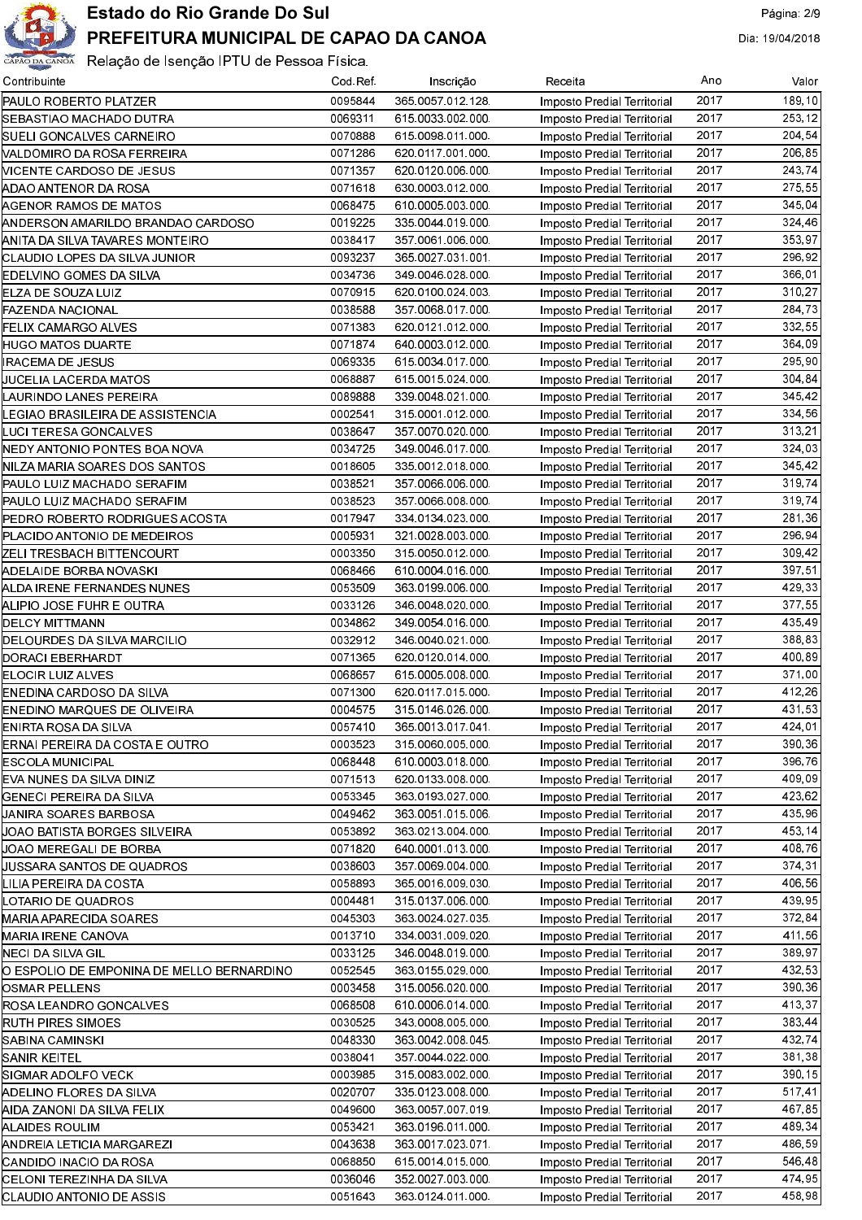

| Contribuinte                                 | Cod Ref            | Inscrição                            | Receita                                                    | Ano  | Valor   |
|----------------------------------------------|--------------------|--------------------------------------|------------------------------------------------------------|------|---------|
| <b>PAULO ROBERTO PLATZER</b>                 | 0095844            | 365 0057 012 128                     | Imposto Predial Territorial                                | 2017 | 189,10  |
| SEBASTIAO MACHADO DUTRA                      | 0069311            | 615 0033 002 000                     | Imposto Predial Territorial                                | 2017 | 253, 12 |
| SUELI GONCALVES CARNEIRO                     | 0070888            | 615 0098 011 000                     | Imposto Predial Territorial                                | 2017 | 204,54  |
| VALDOMIRO DA ROSA FERREIRA                   | 0071286            | 620 0117 001 000                     | Imposto Predial Territorial                                | 2017 | 206,85  |
| NICENTE CARDOSO DE JESUS                     | 0071357            | 620 0120 006 000                     | Imposto Predial Territorial                                | 2017 | 243,74  |
| (ADAO ANTENOR DA ROSA                        | 0071618            | 630 0003 012 000                     | Imposto Predial Territorial                                | 2017 | 275,55  |
| AGENOR RAMOS DE MATOS                        | 0068475            | 610 0005 003 000                     | Imposto Predial Territorial                                | 2017 | 345,04  |
| ANDERSON AMARILDO BRANDAO CARDOSO            | 0019225            | 335 0044 019 000                     | Imposto Predial Territorial                                | 2017 | 324,46  |
| ANITA DA SILVA TAVARES MONTEIRO              | 0038417            | 357 0061 006 000                     | Imposto Predial Territorial                                | 2017 | 353.97  |
| <b>CLAUDIO LOPES DA SILVA JUNIOR</b>         | 0093237            | 365 0027 031 001                     | Imposto Predial Territorial                                | 2017 | 296.92  |
| EDELVINO GOMES DA SILVA                      | 0034736            | 349 0046 028 000                     | Imposto Predial Territorial                                | 2017 | 366,01  |
| ELZA DE SOUZA LUIZ                           | 0070915            | 620 0100 024 003                     | Imposto Predial Territorial                                | 2017 | 310,27  |
| FAZENDA NACIONAL                             | 0038588            | 357 0068 017 000                     | Imposto Predial Territorial                                | 2017 | 284 73  |
| FELIX CAMARGO ALVES                          | 0071383            | 620 0121 012 000                     | Imposto Predial Territorial                                | 2017 | 332.55  |
| HUGO MATOS DUARTE                            | 0071874            | 640 0003 012 000                     | Imposto Predial Territorial                                | 2017 | 364,09  |
| IRACEMA DE JESUS                             | 0069335            | 615 0034 017 000                     | Imposto Predial Territorial                                | 2017 | 295,90  |
| UUCELIA LACERDA MATOS                        | 0068887            | 615 0015 024 000                     | Imposto Predial Territorial                                | 2017 | 304.84  |
| LAURINDO LANES PEREIRA                       | 0089888            | 339 0048 021 000                     | Imposto Predial Territorial                                | 2017 | 345,42  |
| EGIAO BRASILEIRA DE ASSISTENCIA.             | 0002541            | 315 0001 012 000                     | Imposto Predial Territorial                                | 2017 | 334.56  |
| LUCI TERESA GONCALVES                        | 0038647            | 357 0070 020 000                     | Imposto Predial Territorial                                | 2017 | 313.21  |
| NEDY ANTONIO PONTES BOA NOVA                 | 0034725            | 349 0046 017 000                     | Imposto Predial Territorial                                | 2017 | 324,03  |
| NILZA MARIA SOARES DOS SANTOS                | 0018605            | 335 0012 018 000                     | Imposto Predial Territorial                                | 2017 | 345,42  |
| PAULO LUIZ MACHADO SERAFIM                   | 0038521            | 357 0066 006 000                     | Imposto Predial Territorial                                | 2017 | 319,74  |
| PAULO LUIZ MACHADO SERAFIM                   | 0038523            | 357 0066 008 000                     | Imposto Predial Territorial                                | 2017 | 319,74  |
| PEDRO ROBERTO RODRIGUES ACOSTA               | 0017947            | 334 0134 023 000                     | Imposto Predial Territorial                                | 2017 | 281,36  |
| PLACIDO ANTONIO DE MEDEIROS                  | 0005931            | 321.0028.003.000                     | Imposto Predial Territorial                                | 2017 | 296,94  |
| ZELI TRESBACH BITTENCOURT                    | 0003350            | 315 0050 012 000                     | Imposto Predial Territorial                                | 2017 | 309,42  |
| ADELAIDE BORBA NOVASKI                       | 0068466            | 610 0004 016 000                     | Imposto Predial Territorial                                | 2017 | 397,51  |
| ALDA IRENE FERNANDES NUNES                   | 0053509            | 363 0199 006 000                     | Imposto Predial Territorial                                | 2017 | 429,33  |
| ALIPIO JOSE FUHR E OUTRA                     | 0033126            | 346 0048 020 000                     | Imposto Predial Territorial                                | 2017 | 377,55  |
| DELCY MITTMANN                               | 0034862            | 349 0054 016 000                     | Imposto Predial Territorial                                | 2017 | 435.49  |
| DELOURDES DA SILVA MARCILIO                  | 0032912            | 346 0040 021 000                     | Imposto Predial Territorial                                | 2017 | 388,83  |
| DORACI EBERHARDT                             | 0071365            | 620 0120 014 000                     | Imposto Predial Territorial                                | 2017 | 400,89  |
| ELOCIR LUIZ ALVES                            | 0068657            | 615 0005 008 000                     | Imposto Predial Territorial                                | 2017 | 371,00  |
| ENEDINA CARDOSO DA SILVA                     | 0071300            | 620 0117 015 000                     | Imposto Predial Territorial                                | 2017 | 412.26  |
| ENEDINO MARQUES DE OLIVEIRA                  | 0004575            | 315 0146 026 000                     | Imposto Predial Territorial                                | 2017 | 431.53  |
| <b>IENIRTA ROSA DA SILVA</b>                 | 0057410            | 365 0013 017 041                     | Imposto Predial Territorial                                | 2017 | 424,01  |
| ERNAI PEREIRA DA COSTA E OUTRO               | 0003523            | 315 0060 005 000                     | Imposto Predial Territorial                                | 2017 | 390,36  |
| <b>ESCOLA MUNICIPAL</b>                      | 0068448            | 610 0003 018 000                     | Imposto Predial Territorial                                | 2017 | 396.76  |
| EVA NUNES DA SILVA DINIZ                     | 0071513            | 620 0133 008 000                     | Imposto Predial Territorial                                | 2017 | 409,09  |
| GENECI PEREIRA DA SILVA                      | 0053345            | 363 0193 027 000                     | Imposto Predial Territorial                                | 2017 | 423,62  |
| JANIRA SOARES BARBOSA                        | 0049462            | 363 0051 015 006                     | Imposto Predial Territorial                                | 2017 | 435.96  |
| UOAO BATISTA BORGES SILVEIRA                 | 0053892            | 363 0213 004 000                     | Imposto Predial Territorial                                | 2017 | 453.14  |
| JOAO MEREGALI DE BORBA                       | 0071820            | 640 0001 013 000                     | Imposto Predial Territorial                                | 2017 | 408.76  |
| UUSSARA SANTOS DE QUADROS                    | 0038603            | 357 0069 004 000                     | Imposto Predial Territorial                                | 2017 | 374,31  |
| LILIA PEREIRA DA COSTA                       | 0058893            | 365 0016 009 030                     | Imposto Predial Territorial                                | 2017 | 406,56  |
| LOTARIO DE QUADROS                           | 0004481            | 315 0137 006 000                     | Imposto Predial Territorial                                | 2017 | 439,95  |
| MARIA APARECIDA SOARES                       | 0045303            | 363 0024 027 035                     | Imposto Predial Territorial                                | 2017 | 372,84  |
| MARIA IRENE CANOVA                           | 0013710            | 334 0031 009 020                     | Imposto Predial Territorial                                | 2017 | 411,561 |
| NECI DA SILVA GIL                            | 0033125            | 346 0048 019 000                     | Imposto Predial Territorial                                | 2017 | 389.97  |
| O ESPOLIO DE EMPONINA DE MELLO BERNARDINO    | 0052545            | 363 0155 029 000                     | Imposto Predial Territorial                                | 2017 | 432,53  |
| <b>JOSMAR PELLENS</b>                        | 0003458            | 315 0056 020 000                     | Imposto Predial Territorial                                | 2017 | 390,36  |
| ROSA LEANDRO GONCALVES                       | 0068508            | 610 0006 014 000                     | Imposto Predial Territorial                                | 2017 | 413,37  |
|                                              | 0030525            | 343 0008 005 000                     |                                                            | 2017 | 383,44  |
| RUTH PIRES SIMOES<br> SABINA CAMINSKI        | 0048330            | 363 0042 008 045                     | Imposto Predial Territorial<br>Imposto Predial Territorial | 2017 | 432.74  |
|                                              | 0038041            |                                      |                                                            | 2017 | 381,38  |
| SANIR KEITEL<br> SIGMAR ADOLFO VECK          | 0003985            | 357 0044 022 000<br>315 0083 002 000 | Imposto Predial Territorial<br>Imposto Predial Territorial | 2017 | 390,15  |
|                                              |                    |                                      |                                                            | 2017 | 517.41  |
| ADELINO FLORES DA SILVA                      | 0020707<br>0049600 | 335 0123 008 000<br>363 0057 007 019 | Imposto Predial Territorial                                | 2017 | 467,85  |
| AIDA ZANONI DA SILVA FELIX<br>ALAIDES ROULIM | 0053421            | 363 0196 011 000                     | Imposto Predial Territorial                                | 2017 | 489,34  |
|                                              | 0043638            |                                      | Imposto Predial Territorial                                | 2017 | 486,59  |
| ANDREIA LETICIA MARGAREZI                    | 0068850            | 363 0017 023 071                     | Imposto Predial Territorial                                | 2017 | 546.48  |
| CANDIDO INACIO DA ROSA                       |                    | 615 0014 015 000                     | Imposto Predial Territorial                                |      |         |
| CELONI TEREZINHA DA SILVA                    | 0036046            | 352 0027 003 000                     | Imposto Predial Territorial                                | 2017 | 474.95  |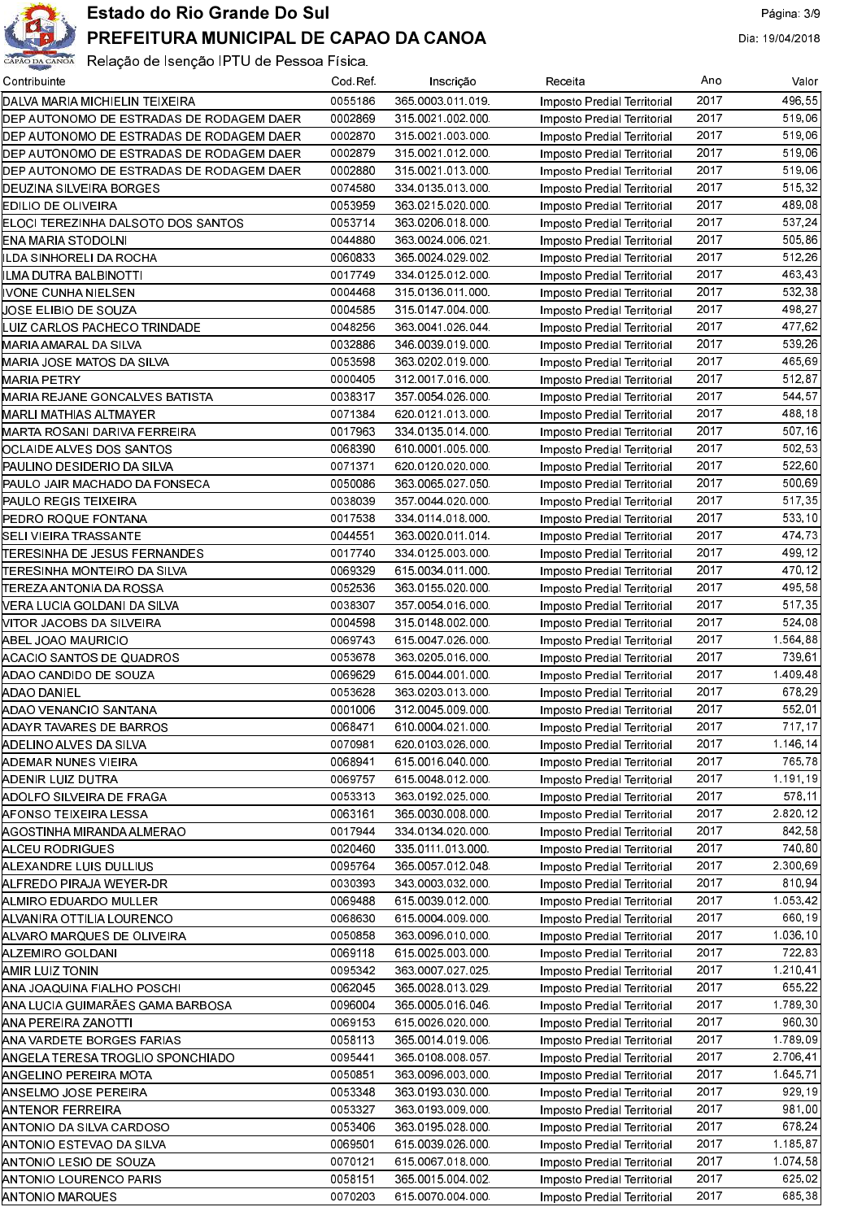

| Contribuinte                                  | Cod Ref. | Inscrição                            | Receita                     | Ano  | Valor    |
|-----------------------------------------------|----------|--------------------------------------|-----------------------------|------|----------|
| DALVA MARIA MICHIELIN TEIXEIRA                | 0055186  | 365 0003 011 019                     | Imposto Predial Territorial | 2017 | 496.55   |
| DEP AUTONOMO DE ESTRADAS DE RODAGEM DAER      | 0002869  | 315 0021 002 000                     | Imposto Predial Territorial | 2017 | 519.06   |
| DEP AUTONOMO DE ESTRADAS DE RODAGEM DAER      | 0002870  | 315 0021 003 000                     | Imposto Predial Territorial | 2017 | 519,06   |
| DEP AUTONOMO DE ESTRADAS DE RODAGEM DAER      | 0002879  | 315 0021 012 000                     | Imposto Predial Territorial | 2017 | 519.06   |
| DEP AUTONOMO DE ESTRADAS DE RODAGEM DAER      | 0002880  | 315 0021 013 000                     | Imposto Predial Territorial | 2017 | 519,06   |
| DEUZINA SILVEIRA BORGES                       | 0074580  | 334 0135 013 000                     | Imposto Predial Territorial | 2017 | 515,32   |
| EDILIO DE OLIVEIRA                            | 0053959  | 363 0215 020 000                     | Imposto Predial Territorial | 2017 | 489,08   |
| ELOCI TEREZINHA DALSOTO DOS SANTOS            | 0053714  | 363 0206 018 000                     | Imposto Predial Territorial | 2017 | 537.24   |
| ENA MARIA STODOLNI                            | 0044880  | 363 0024 006 021                     | Imposto Predial Territorial | 2017 | 505,86   |
| ILDA SINHORELI DA ROCHA                       | 0060833  | 365 0024 029 002                     | Imposto Predial Territorial | 2017 | 512.26   |
| ILMA DUTRA BALBINOTTI                         | 0017749  | 334 0125 012 000                     | Imposto Predial Territorial | 2017 | 463,43   |
| IVONE CUNHA NIELSEN                           | 0004468  | 315 0136 011 000                     | Imposto Predial Territorial | 2017 | 532,38   |
| JOSE ELIBIO DE SOUZA                          | 0004585  | 315 0147 004 000                     | Imposto Predial Territorial | 2017 | 498,27   |
| LUIZ CARLOS PACHECO TRINDADE                  | 0048256  | 363 0041 026 044                     | Imposto Predial Territorial | 2017 | 477,62   |
| MARIA AMARAL DA SILVA                         | 0032886  | 346 0039 019 000                     | Imposto Predial Territorial | 2017 | 539.26   |
| MARIA JOSE MATOS DA SILVA                     | 0053598  | 363 0202 019 000                     | Imposto Predial Territorial | 2017 | 465,69   |
| MARIA PETRY                                   | 0000405  | 312 0017 016 000                     | Imposto Predial Territorial | 2017 | 512,87   |
| MARIA REJANE GONCALVES BATISTA                | 0038317  | 357 0054 026 000                     | Imposto Predial Territorial | 2017 | 544,57   |
| MARLI MATHIAS ALTMAYER                        | 0071384  | 620 0121 013 000                     | Imposto Predial Territorial | 2017 | 488,18   |
| MARTA ROSANI DARIVA FERREIRA                  | 0017963  | 334 0135 014 000                     | Imposto Predial Territorial | 2017 | 507,16   |
| OCLAIDE ALVES DOS SANTOS                      | 0068390  | 610 0001 005 000                     | Imposto Predial Territorial | 2017 | 502.53   |
| PAULINO DESIDERIO DA SILVA                    | 0071371  | 620 0120 020 000                     | Imposto Predial Territorial | 2017 | 522,60   |
| PAULO JAIR MACHADO DA FONSECA                 | 0050086  | 363 0065 027 050                     | Imposto Predial Territorial | 2017 | 500,69   |
| PAULO REGIS TEIXEIRA                          | 0038039  | 357 0044 020 000                     | Imposto Predial Territorial | 2017 | 517,35   |
| PEDRO ROQUE FONTANA                           | 0017538  | 334 0114 018 000                     | Imposto Predial Territorial | 2017 | 533,10   |
| SELI VIEIRA TRASSANTE                         | 0044551  | 363 0020 011 014                     | Imposto Predial Territorial | 2017 | 474,73   |
| <b>TERESINHA DE JESUS FERNANDES</b>           | 0017740  | 334 0125 003 000                     | Imposto Predial Territorial | 2017 | 499,12   |
| TERESINHA MONTEIRO DA SILVA                   | 0069329  | 615 0034 011 000                     | Imposto Predial Territorial | 2017 | 470,12   |
| [TEREZA ANTONIA DA ROSSA                      | 0052536  | 363 0155 020 000                     | Imposto Predial Territorial | 2017 | 495,58   |
| NERA LUCIA GOLDANI DA SILVA                   | 0038307  | 357 0054 016 000                     | Imposto Predial Territorial | 2017 | 517,35   |
| VITOR JACOBS DA SILVEIRA                      | 0004598  | 315 0148 002 000                     | Imposto Predial Territorial | 2017 | 524,08   |
| ABEL JOAO MAURICIO                            | 0069743  | 615 0047 026 000                     | Imposto Predial Territorial | 2017 | 1.564,88 |
| ACACIO SANTOS DE QUADROS                      | 0053678  | 363 0205 016 000                     | Imposto Predial Territorial | 2017 | 739,61   |
| ADAO CANDIDO DE SOUZA                         | 0069629  | 615 0044 001 000                     | Imposto Predial Territorial | 2017 | 1 409 48 |
| ADAO DANIEL                                   | 0053628  | 363.0203.013.000                     | Imposto Predial Territorial | 2017 | 678,29   |
| ADAO VENANCIO SANTANA                         | 0001006  | 312 0045 009 000                     | Imposto Predial Territorial | 2017 | 552,01   |
|                                               | 0068471  | 610.0004.021.000                     | Imposto Predial Territorial | 2017 | 717,17   |
| ADAYR TAVARES DE BARROS                       | 0070981  | 620 0103 026 000                     | Imposto Predial Territorial | 2017 | 1.146.14 |
| ADELINO ALVES DA SILVA                        | 0068941  |                                      |                             | 2017 | 765,78   |
| ADEMAR NUNES VIEIRA                           | 0069757  | 615 0016 040 000<br>615 0048 012 000 | Imposto Predial Territorial | 2017 | 1.191,19 |
| ADENIR LUIZ DUTRA<br>ADOLFO SILVEIRA DE FRAGA | 0053313  | 363 0192 025 000                     | Imposto Predial Territorial | 2017 | 578.11   |
|                                               |          |                                      | Imposto Predial Territorial | 2017 | 2 820 12 |
| AFONSO TEIXEIRA LESSA                         | 0063161  | 365 0030 008 000                     | Imposto Predial Territorial | 2017 | 842,58   |
| AGOSTINHA MIRANDA ALMERAO                     | 0017944  | 334 0134 020 000                     | Imposto Predial Territorial | 2017 | 740.80   |
| ALCEU RODRIGUES                               | 0020460  | 335 0111 013 000                     | Imposto Predial Territorial | 2017 | 2.300.69 |
| ALEXANDRE LUIS DULLIUS                        | 0095764  | 365 0057 012 048                     | Imposto Predial Territorial |      |          |
| ALFREDO PIRAJA WEYER-DR                       | 0030393  | 343 0003 032 000                     | Imposto Predial Territorial | 2017 | 810,94   |
| ALMIRO EDUARDO MULLER                         | 0069488  | 615 0039 012 000                     | Imposto Predial Territorial | 2017 | 1 053 42 |
| ALVANIRA OTTILIA LOURENCO                     | 0068630  | 615 0004 009 000                     | Imposto Predial Territorial | 2017 | 660.19   |
| ALVARO MARQUES DE OLIVEIRA                    | 0050858  | 363 0096 010 000                     | Imposto Predial Territorial | 2017 | 1.036,10 |
| ALZEMIRO GOLDANI                              | 0069118  | 615 0025 003 000                     | Imposto Predial Territorial | 2017 | 722,83   |
| AMIR LUIZ TONIN                               | 0095342  | 363 0007 027 025                     | Imposto Predial Territorial | 2017 | 1 210 41 |
| IANA JOAQUINA FIALHO POSCHI                   | 0062045  | 365 0028 013 029                     | Imposto Predial Territorial | 2017 | 655,22   |
| IANA LUCIA GUIMARAES GAMA BARBOSA             | 0096004  | 365 0005 016 046                     | Imposto Predial Territorial | 2017 | 1 789,30 |
| ANA PEREIRA ZANOTTI                           | 0069153  | 615 0026 020 000                     | Imposto Predial Territorial | 2017 | 960,30   |
| ANA VARDETE BORGES FARIAS                     | 0058113  | 365 0014 019 006                     | Imposto Predial Territorial | 2017 | 1.789,09 |
| ANGELA TERESA TROGLIO SPONCHIADO              | 0095441  | 365 0108 008 057                     | Imposto Predial Territorial | 2017 | 2 706.41 |
| ANGELINO PEREIRA MOTA                         | 0050851  | 363 0096 003 000                     | Imposto Predial Territorial | 2017 | 1.645,71 |
| ANSELMO JOSE PEREIRA                          | 0053348  | 363 0193 030 000                     | Imposto Predial Territorial | 2017 | 929,19   |
| ANTENOR FERREIRA                              | 0053327  | 363 0193 009 000                     | Imposto Predial Territorial | 2017 | 981,00   |
| ANTONIO DA SILVA CARDOSO                      | 0053406  | 363 0195 028 000                     | Imposto Predial Territorial | 2017 | 678,24   |
| ANTONIO ESTEVAO DA SILVA                      | 0069501  | 615 0039 026 000                     | Imposto Predial Territorial | 2017 | 1 185,87 |
| ANTONIO LESIO DE SOUZA                        | 0070121  | 615 0067 018 000                     | Imposto Predial Territorial | 2017 | 1.074,58 |
| ANTONIO LOURENCO PARIS                        | 0058151  | 365 0015 004 002                     | Imposto Predial Territorial | 2017 | 625,02   |
| ANTONIO MARQUES                               | 0070203  | 615 0070 004 000                     | Imposto Predial Territorial | 2017 | 685,38   |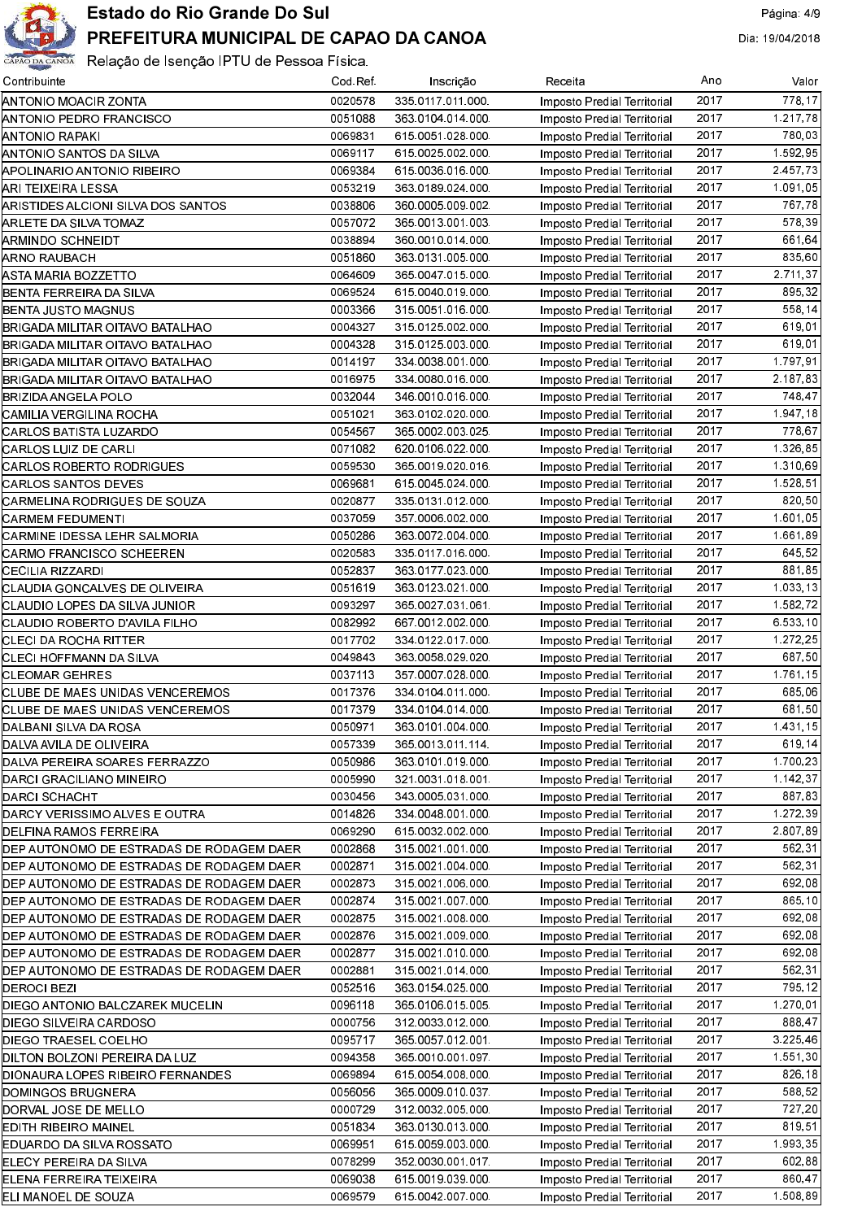

| Contribuinte                             | Cod Ref. | Inscrição        | Receita                     | Ano  | Valor                    |
|------------------------------------------|----------|------------------|-----------------------------|------|--------------------------|
| ANTONIO MOACIR ZONTA                     | 0020578  | 335 0117 011 000 | Imposto Predial Territorial | 2017 | 778.17                   |
| ANTONIO PEDRO FRANCISCO                  | 0051088  | 363 0104 014 000 | Imposto Predial Territorial | 2017 | 1.217,78                 |
| ANTONIO RAPAKI                           | 0069831  | 615 0051 028 000 | Imposto Predial Territorial | 2017 | 780,03                   |
| ANTONIO SANTOS DA SILVA                  | 0069117  | 615 0025 002 000 | Imposto Predial Territorial | 2017 | 1.592,95                 |
| APOLINARIO ANTONIO RIBEIRO               | 0069384  | 615 0036 016 000 | Imposto Predial Territorial | 2017 | 2.457.73                 |
| ARI TEIXEIRA LESSA                       | 0053219  | 363 0189 024 000 | Imposto Predial Territorial | 2017 | 1.091,05                 |
| ARISTIDES ALCIONI SILVA DOS SANTOS       | 0038806  | 360 0005 009 002 | Imposto Predial Territorial | 2017 | 767.78                   |
| ARLETE DA SILVA TOMAZ                    | 0057072  | 365 0013 001 003 | Imposto Predial Territorial | 2017 | 578.39                   |
| ARMINDO SCHNEIDT                         | 0038894  | 360 0010 014 000 | Imposto Predial Territorial | 2017 | 661, 64                  |
| ARNO RAUBACH                             | 0051860  | 363 0131 005 000 | Imposto Predial Territorial | 2017 | 835,60                   |
| ASTA MARIA BOZZETTO                      | 0064609  | 365 0047 015 000 | Imposto Predial Territorial | 2017 | 2.711,37                 |
| BENTA FERREIRA DA SILVA                  | 0069524  | 615 0040 019 000 | Imposto Predial Territorial | 2017 | 895,32                   |
| BENTA JUSTO MAGNUS                       | 0003366  | 315 0051 016 000 | Imposto Predial Territorial | 2017 | 558.14                   |
| BRIGADA MILITAR OITAVO BATALHAO          | 0004327  | 315 0125 002 000 | Imposto Predial Territorial | 2017 | 619.01                   |
| BRIGADA MILITAR OITAVO BATALHAO          | 0004328  | 315 0125 003 000 | Imposto Predial Territorial | 2017 | 619.01                   |
| BRIGADA MILITAR OITAVO BATALHAO          | 0014197  | 334 0038 001 000 | Imposto Predial Territorial | 2017 | 1.797.91                 |
| BRIGADA MILITAR OITAVO BATALHAO          | 0016975  | 334 0080 016 000 | Imposto Predial Territorial | 2017 | 2.187.83                 |
| BRIZIDA ANGELA POLO                      | 0032044  | 346 0010 016 000 | Imposto Predial Territorial | 2017 | 748.47                   |
| CAMILIA VERGILINA ROCHA                  | 0051021  | 363 0102 020 000 | Imposto Predial Territorial | 2017 | 1.947, 18                |
| CARLOS BATISTA LUZARDO                   | 0054567  | 365 0002 003 025 | Imposto Predial Territorial | 2017 | 778.67                   |
| CARLOS LUIZ DE CARLI                     | 0071082  | 620 0106 022 000 | Imposto Predial Territorial | 2017 | 1.326,85                 |
| CARLOS ROBERTO RODRIGUES                 | 0059530  | 365 0019 020 016 | Imposto Predial Territorial | 2017 | 1.310.69                 |
| CARLOS SANTOS DEVES                      | 0069681  | 615 0045 024 000 |                             | 2017 | 1.528.51                 |
| CARMELINA RODRIGUES DE SOUZA             | 0020877  | 335 0131 012 000 | Imposto Predial Territorial | 2017 | 820.50                   |
|                                          |          |                  | Imposto Predial Territorial | 2017 | 1.601.05                 |
| CARMEM FEDUMENTI                         | 0037059  | 357 0006 002 000 | Imposto Predial Territorial | 2017 | 1.661.89                 |
| CARMINE IDESSA LEHR SALMORIA             | 0050286  | 363 0072 004 000 | Imposto Predial Territorial | 2017 | 645.52                   |
| CARMO FRANCISCO SCHEEREN                 | 0020583  | 335 0117 016 000 | Imposto Predial Territorial |      |                          |
| CECILIA RIZZARDI                         | 0052837  | 363 0177 023 000 | Imposto Predial Territorial | 2017 | 881,85                   |
| CLAUDIA GONCALVES DE OLIVEIRA            | 0051619  | 363 0123 021 000 | Imposto Predial Territorial | 2017 | 1.033,13                 |
| CLAUDIO LOPES DA SILVA JUNIOR            | 0093297  | 365 0027 031 061 | Imposto Predial Territorial | 2017 | 1.582.72                 |
| CLAUDIO ROBERTO D'AVILA FILHO            | 0082992  | 667 0012 002 000 | Imposto Predial Territorial | 2017 | 6.533,10                 |
| CLECI DA ROCHA RITTER                    | 0017702  | 334 0122 017 000 | Imposto Predial Territorial | 2017 | $\overline{1}$ . 272, 25 |
| CLECI HOFFMANN DA SILVA                  | 0049843  | 363 0058 029 020 | Imposto Predial Territorial | 2017 | 687.50                   |
| CLEOMAR GEHRES                           | 0037113  | 357 0007 028 000 | Imposto Predial Territorial | 2017 | $\overline{1.761, 15}$   |
| CLUBE DE MAES UNIDAS VENCEREMOS          | 0017376  | 334 0104 011 000 | Imposto Predial Territorial | 2017 | 685.06                   |
| CLUBE DE MAES UNIDAS VENCEREMOS          | 0017379  | 334 0104 014 000 | Imposto Predial Territorial | 2017 | 681.50                   |
| DALBANI SILVA DA ROSA                    | 0050971  | 363 0101 004 000 | Imposto Predial Territorial | 2017 | 1.431, 15                |
| DALVA AVILA DE OLIVEIRA                  | 0057339  | 365 0013 011 114 | Imposto Predial Territorial | 2017 | 619.14                   |
| DALVA PEREIRA SOARES FERRAZZO            | 0050986  | 363 0101 019 000 | Imposto Predial Territorial | 2017 | 1.700.23                 |
| DARCI GRACILIANO MINEIRO                 | 0005990  | 321 0031 018 001 | Imposto Predial Territorial | 2017 | 1 142 37                 |
| DARCI SCHACHT                            | 0030456  | 343 0005 031 000 | Imposto Predial Territorial | 2017 | 887.83                   |
| DARCY VERISSIMO ALVES E OUTRA            | 0014826  | 334 0048 001 000 | Imposto Predial Territorial | 2017 | 1.272,39                 |
| DELFINA RAMOS FERREIRA                   | 0069290  | 615 0032 002 000 | Imposto Predial Territorial | 2017 | 2.807.89                 |
| DEP AUTONOMO DE ESTRADAS DE RODAGEM DAER | 0002868  | 315 0021 001 000 | Imposto Predial Territorial | 2017 | 562.31                   |
| DEP AUTONOMO DE ESTRADAS DE RODAGEM DAER | 0002871  | 315 0021 004 000 | Imposto Predial Territorial | 2017 | 562.31                   |
| DEP AUTONOMO DE ESTRADAS DE RODAGEM DAER | 0002873  | 315 0021 006 000 | Imposto Predial Territorial | 2017 | 692,08                   |
| DEP AUTONOMO DE ESTRADAS DE RODAGEM DAER | 0002874  | 315 0021 007 000 | Imposto Predial Territorial | 2017 | 865.10                   |
| DEP AUTONOMO DE ESTRADAS DE RODAGEM DAER | 0002875  | 315 0021 008 000 | Imposto Predial Territorial | 2017 | 692,08                   |
| DEP AUTONOMO DE ESTRADAS DE RODAGEM DAER | 0002876  | 315 0021 009 000 | Imposto Predial Territorial | 2017 | 692,08                   |
| DEP AUTONOMO DE ESTRADAS DE RODAGEM DAER | 0002877  | 315 0021 010 000 | Imposto Predial Territorial | 2017 | 692,08                   |
| DEP AUTONOMO DE ESTRADAS DE RODAGEM DAER | 0002881  | 315 0021 014 000 | Imposto Predial Territorial | 2017 | 562,31                   |
| DEROCI BEZI                              | 0052516  | 363 0154 025 000 | Imposto Predial Territorial | 2017 | 795.12                   |
| DIEGO ANTONIO BALCZAREK MUCELIN          | 0096118  | 365 0106 015 005 | Imposto Predial Territorial | 2017 | 1.270,01                 |
| DIEGO SILVEIRA CARDOSO                   | 0000756  | 312 0033 012 000 | Imposto Predial Territorial | 2017 | 888.47                   |
| <b>DIEGO TRAESEL COELHO</b>              | 0095717  | 365 0057 012 001 | Imposto Predial Territorial | 2017 | 3.225,46                 |
| DILTON BOLZONI PEREIRA DA LUZ            | 0094358  | 365 0010 001 097 | Imposto Predial Territorial | 2017 | 1.551,30                 |
| DIONAURA LOPES RIBEIRO FERNANDES         | 0069894  | 615 0054 008 000 | Imposto Predial Territorial | 2017 | 826.18                   |
| DOMINGOS BRUGNERA                        | 0056056  | 365 0009 010 037 | Imposto Predial Territorial | 2017 | 588,52                   |
| DORVAL JOSE DE MELLO                     | 0000729  | 312 0032 005 000 | Imposto Predial Territorial | 2017 | 727,20                   |
| EDITH RIBEIRO MAINEL                     | 0051834  | 363 0130 013 000 | Imposto Predial Territorial | 2017 | 819,51                   |
| EDUARDO DA SILVA ROSSATO                 | 0069951  | 615 0059 003 000 | Imposto Predial Territorial | 2017 | 1.993.35                 |
| ELECY PEREIRA DA SILVA                   | 0078299  | 352 0030 001 017 | Imposto Predial Territorial | 2017 | 602.88                   |
| ELENA FERREIRA TEIXEIRA                  | 0069038  | 615 0019 039 000 | Imposto Predial Territorial | 2017 | 860.47                   |
| ELI MANOEL DE SOUZA                      | 0069579  | 615 0042 007 000 | Imposto Predial Territorial | 2017 | 1.508,89                 |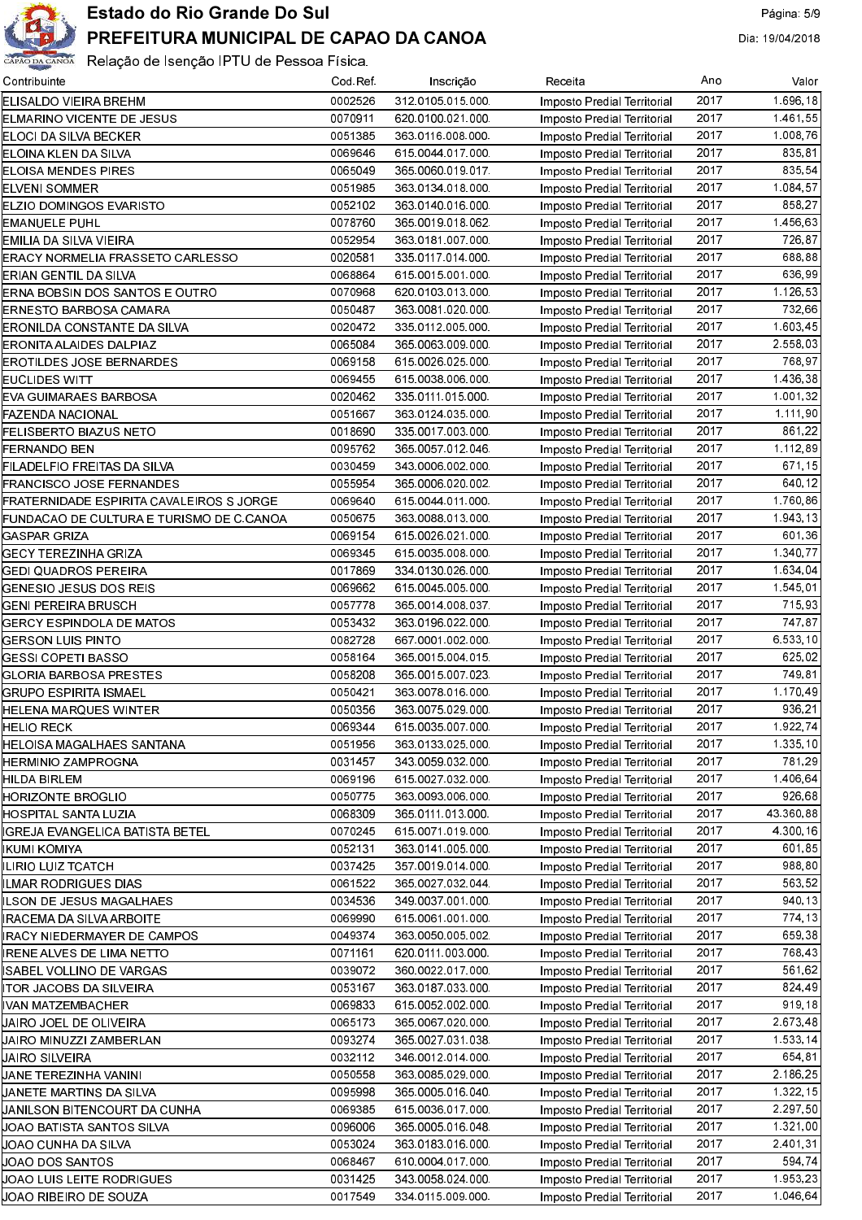

| Contribuinte                             | Cod Ref            | Inscrição                            | Receita                                                    | Ano          | Valor              |
|------------------------------------------|--------------------|--------------------------------------|------------------------------------------------------------|--------------|--------------------|
| ELISALDO VIEIRA BREHM                    | 0002526            | 312 0105 015 000                     | Imposto Predial Territorial                                | 2017         | 1.696, 18          |
| <b>ELMARINO VICENTE DE JESUS</b>         | 0070911            | 620 0100 021 000                     | Imposto Predial Territorial                                | 2017         | 1 461 55           |
| ELOCI DA SILVA BECKER                    | 0051385            | 363 0116 008 000                     | Imposto Predial Territorial                                | 2017         | 1.008.76           |
| ELOINA KLEN DA SILVA                     | 0069646            | 615 0044 017 000                     | Imposto Predial Territorial                                | 2017         | 835.81             |
| ELOISA MENDES PIRES                      | 0065049            | 365 0060 019 017                     | Imposto Predial Territorial                                | 2017         | 835,54             |
| ELVENI SOMMER                            | 0051985            | 363 0134 018 000                     | Imposto Predial Territorial                                | 2017         | 1 084 57           |
| ELZIO DOMINGOS EVARISTO                  | 0052102            | 363 0140 016 000                     | Imposto Predial Territorial                                | 2017         | 858,27             |
| <b>EMANUELE PUHL</b>                     | 0078760            | 365 0019 018 062                     | Imposto Predial Territorial                                | 2017         | 1.456,63           |
| EMILIA DA SILVA VIEIRA                   | 0052954            | 363 0181 007 000                     | Imposto Predial Territorial                                | 2017         | 726,87             |
| ERACY NORMELIA FRASSETO CARLESSO         | 0020581            | 335 0117 014 000                     | Imposto Predial Territorial                                | 2017         | 688,88             |
| ERIAN GENTIL DA SILVA                    | 0068864            | 615 0015 001 000                     | Imposto Predial Territorial                                | 2017         | 636,99             |
| ERNA BOBSIN DOS SANTOS E OUTRO           | 0070968            | 620 0103 013 000                     | Imposto Predial Territorial                                | 2017         | 1.126,53           |
| ERNESTO BARBOSA CAMARA                   | 0050487            | 363 0081 020 000                     | Imposto Predial Territorial                                | 2017         | 732,66             |
| ERONILDA CONSTANTE DA SILVA              | 0020472            | 335 0112 005 000                     | Imposto Predial Territorial                                | 2017         | 1.603.45           |
| ERONITA ALAIDES DALPIAZ                  | 0065084            | 365 0063 009 000                     | Imposto Predial Territorial                                | 2017         | 2.558,03           |
| EROTILDES JOSE BERNARDES                 | 0069158            | 615 0026 025 000                     | Imposto Predial Territorial                                | 2017         | 768,97             |
| <b>EUCLIDES WITT</b>                     | 0069455            | 615 0038 006 000                     | Imposto Predial Territorial                                | 2017         | 1.436,38           |
| EVA GUIMARAES BARBOSA                    | 0020462            | 335 0111 015 000                     | Imposto Predial Territorial                                | 2017         | 1.001,32           |
| FAZENDA NACIONAL                         | 0051667            | 363 0124 035 000                     | Imposto Predial Territorial                                | 2017         | 1.111,90           |
| FELISBERTO BIAZUS NETO                   | 0018690            | 335 0017 003 000                     | Imposto Predial Territorial                                | 2017         | 861,22             |
| FERNANDO BEN                             | 0095762            | 365 0057 012 046<br>343 0006 002 000 | Imposto Predial Territorial                                | 2017<br>2017 | 1.112.89<br>671.15 |
| FILADELFIO FREITAS DA SILVA              | 0030459            |                                      | Imposto Predial Territorial                                | 2017         | 640,12             |
| FRANCISCO JOSE FERNANDES                 | 0055954            | 365 0006 020 002                     | Imposto Predial Territorial                                | 2017         | 1.760,86           |
| FRATERNIDADE ESPIRITA CAVALEIROS S JORGE | 0069640<br>0050675 | 615 0044 011 000<br>363 0088 013 000 | Imposto Predial Territorial                                | 2017         | 1.943.13           |
| FUNDACAO DE CULTURA E TURISMO DE C CANOA | 0069154            | 615 0026 021 000                     | Imposto Predial Territorial                                | 2017         | 601,36             |
| GASPAR GRIZA<br>GECY TEREZINHA GRIZA     | 0069345            | 615 0035 008 000                     | Imposto Predial Territorial<br>Imposto Predial Territorial | 2017         | 1.340,77           |
| GEDI QUADROS PEREIRA                     | 0017869            | 334 0130 026 000                     | Imposto Predial Territorial                                | 2017         | 1.634.04           |
| GENESIO JESUS DOS REIS                   | 0069662            | 615 0045 005 000                     | Imposto Predial Territorial                                | 2017         | 1.545,01           |
| GENI PEREIRA BRUSCH                      | 0057778            | 365 0014 008 037                     | Imposto Predial Territorial                                | 2017         | 715.93             |
| GERCY ESPINDOLA DE MATOS                 | 0053432            | 363 0196 022 000                     | Imposto Predial Territorial                                | 2017         | 747,87             |
| GERSON LUIS PINTO                        | 0082728            | 667 0001 002 000                     | Imposto Predial Territorial                                | 2017         | 6.533.10           |
| GESSI COPETI BASSO                       | 0058164            | 365 0015 004 015                     | Imposto Predial Territorial                                | 2017         | 625,02             |
| GLORIA BARBOSA PRESTES                   | 0058208            | 365 0015 007 023                     | Imposto Predial Territorial                                | 2017         | 749,81             |
| GRUPO ESPIRITA ISMAEL                    | 0050421            | 363 0078 016 000                     | Imposto Predial Territorial                                | 2017         | 1.170,49           |
| HELENA MARQUES WINTER                    | 0050356            | 363 0075 029 000                     | Imposto Predial Territorial                                | 2017         | 936.21             |
| HELIO RECK                               | 0069344            | 615 0035 007 000                     | Imposto Predial Territorial                                | 2017         | 1.922, 74          |
| HELOISA MAGALHAES SANTANA                | 0051956            | 363 0133 025 000                     | Imposto Predial Territorial                                | 2017         | 1.335, 10          |
| HERMINIO ZAMPROGNA                       | 0031457            | 343 0059 032 000                     | Imposto Predial Territorial                                | 2017         | 781,29             |
| HILDA BIRLEM                             | 0069196            | 615 0027 032 000                     | Imposto Predial Territorial                                | 2017         | 1.406,64           |
| HORIZONTE BROGLIO                        | 0050775            | 363 0093 006 000                     | Imposto Predial Territorial                                | 2017         | 926,68             |
| HOSPITAL SANTA LUZIA                     | 0068309            | 365 0111 013 000                     | Imposto Predial Territorial                                | 2017         | 43.360,88          |
| IGREJA EVANGELICA BATISTA BETEL          | 0070245            | 615 0071 019 000                     | Imposto Predial Territorial                                | 2017         | 4 300 16           |
| IKUMI KOMIYA                             | 0052131            | 363 0141 005 000                     | Imposto Predial Territorial                                | 2017         | 601.85             |
| ILIRIO LUIZ TCATCH                       | 0037425            | 357 0019 014 000                     | Imposto Predial Territorial                                | 2017         | 988,80             |
| ILMAR RODRIGUES DIAS                     | 0061522            | 365 0027 032 044                     | Imposto Predial Territorial                                | 2017         | 563.52             |
| ILSON DE JESUS MAGALHAES                 | 0034536            | 349 0037 001 000                     | Imposto Predial Territorial                                | 2017         | 940,13             |
| IRACEMA DA SILVA ARBOITE                 | 0069990            | 615 0061 001 000                     | Imposto Predial Territorial                                | 2017         | 774.13             |
| IRACY NIEDERMAYER DE CAMPOS              | 0049374            | 363 0050 005 002                     | Imposto Predial Territorial                                | 2017         | 659.38             |
| IRENE ALVES DE LIMA NETTO                | 0071161            | 620 0111 003 000                     | Imposto Predial Territorial                                | 2017         | 768,43             |
| ISABEL VOLLINO DE VARGAS                 | 0039072            | 360 0022 017 000                     | Imposto Predial Territorial                                | 2017         | 561,62             |
| ITOR JACOBS DA SILVEIRA                  | 0053167            | 363 0187 033 000                     | Imposto Predial Territorial                                | 2017         | 824.49             |
| IVAN MATZEMBACHER                        | 0069833            | 615 0052 002 000                     | Imposto Predial Territorial                                | 2017         | 919,18             |
| JAIRO JOEL DE OLIVEIRA                   | 0065173            | 365 0067 020 000                     | Imposto Predial Territorial                                | 2017         | 2.673,48           |
| JAIRO MINUZZI ZAMBERLAN                  | 0093274            | 365 0027 031 038                     | Imposto Predial Territorial                                | 2017         | 1.533, 14          |
| JAIRO SILVEIRA                           | 0032112            | 346 0012 014 000                     | Imposto Predial Territorial                                | 2017         | 654.81             |
| JANE TEREZINHA VANINI                    | 0050558            | 363 0085 029 000                     | Imposto Predial Territorial                                | 2017         | 2.186,25           |
| JANETE MARTINS DA SILVA                  | 0095998            | 365 0005 016 040                     | Imposto Predial Territorial                                | 2017         | 1.322, 15          |
| UANILSON BITENCOURT DA CUNHA             | 0069385            | 615 0036 017 000                     | Imposto Predial Territorial                                | 2017         | 2.297,50           |
| JOAO BATISTA SANTOS SILVA                | 0096006            | 365 0005 016 048                     | Imposto Predial Territorial                                | 2017         | 1.321,00           |
| JOAO CUNHA DA SILVA                      | 0053024            | 363 0183 016 000                     | Imposto Predial Territorial                                | 2017         | 2.401,31           |
| JOAO DOS SANTOS                          | 0068467            | 610.0004.017.000                     | Imposto Predial Territorial                                | 2017         | 594.74             |
| JOAO LUIS LEITE RODRIGUES                | 0031425            | 343 0058 024 000                     | Imposto Predial Territorial                                | 2017         | 1.953,23           |
| JOAO RIBEIRO DE SOUZA                    | 0017549            | 334 0115 009 000                     | Imposto Predial Territorial                                | 2017         | 1.046,64           |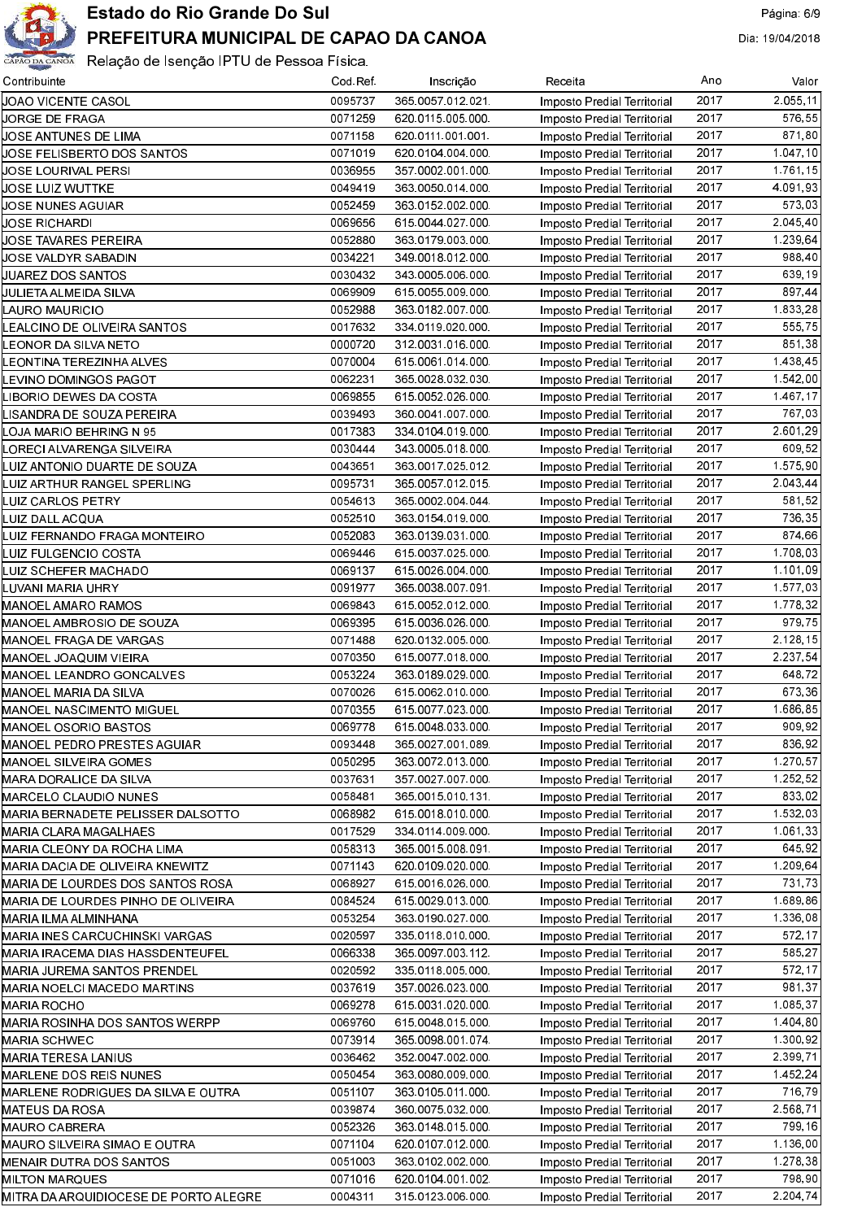

| Contribuinte                                            | Cod Ref            | Inscrição                            | Receita                            | Ano  | Valor    |
|---------------------------------------------------------|--------------------|--------------------------------------|------------------------------------|------|----------|
| µOAO VICENTE CASOL                                      | 0095737            | 365 0057 012 021                     | Imposto Predial Territorial        | 2017 | 2.055.11 |
| UORGE DE FRAGA                                          | 0071259            | 620 0115 005 000                     | <b>Imposto Predial Territorial</b> | 2017 | 576.55   |
| UOSE ANTUNES DE LIMA                                    | 0071158            | 620 0111 001 001                     | <b>Imposto Predial Territorial</b> | 2017 | 871,80   |
| UOSE FELISBERTO DOS SANTOS                              | 0071019            | 620 0104 004 000                     | <b>Imposto Predial Territorial</b> | 2017 | 1.047,10 |
| JOSE LOURIVAL PERSI                                     | 0036955            | 357 0002 001 000                     | <b>Imposto Predial Territorial</b> | 2017 | 1761, 15 |
| JOSE LUIZ WUTTKE                                        | 0049419            | 363 0050 014 000                     | <b>Imposto Predial Territorial</b> | 2017 | 4 091 93 |
| UOSE NUNES AGUIAR                                       | 0052459            | 363 0152 002 000                     | <b>Imposto Predial Territorial</b> | 2017 | 573.03   |
| JOSE RICHARDI                                           | 0069656            | 615 0044 027 000                     | <b>Imposto Predial Territorial</b> | 2017 | 2 045 40 |
| JOSE TAVARES PEREIRA                                    | 0052880            | 363 0179 003 000                     | <b>Imposto Predial Territorial</b> | 2017 | 1.239.64 |
| UOSE VALDYR SABADIN                                     | 0034221            | 349 0018 012 000                     | <b>Imposto Predial Territorial</b> | 2017 | 988,40   |
| UUAREZ DOS SANTOS                                       | 0030432            | 343 0005 006 000                     | <b>Imposto Predial Territorial</b> | 2017 | 639.19   |
| UULIETA ALMEIDA SILVA                                   | 0069909            | 615 0055 009 000                     | <b>Imposto Predial Territorial</b> | 2017 | 897,44   |
| LAURO MAURICIO                                          | 0052988            | 363 0182 007 000                     | <b>Imposto Predial Territorial</b> | 2017 | 1.833,28 |
| EALCINO DE OLIVEIRA SANTOS.                             | 0017632            | 334 0119 020 000                     | <b>Imposto Predial Territorial</b> | 2017 | 555 75   |
| EONOR DA SILVA NETO                                     | 0000720            | 312 0031 016 000                     | <b>Imposto Predial Territorial</b> | 2017 | 851,38   |
| EONTINA TEREZINHA ALVES.                                | 0070004            | 615 0061 014 000                     | <b>Imposto Predial Territorial</b> | 2017 | 1.438,45 |
| EVINO DOMINGOS PAGOT.                                   | 0062231            | 365 0028 032 030                     | Imposto Predial Territorial        | 2017 | 1.542,00 |
| LIBORIO DEWES DA COSTA                                  | 0069855            | 615 0052 026 000                     | Imposto Predial Territorial        | 2017 | 1.467.17 |
| LISANDRA DE SOUZA PEREIRA                               | 0039493            | 360 0041 007 000                     | <b>Imposto Predial Territorial</b> | 2017 | 767,03   |
| LOJA MARIO BEHRING N 95                                 | 0017383            | 334 0104 019 000                     | <b>Imposto Predial Territorial</b> | 2017 | 2.601,29 |
| LORECI ALVARENGA SILVEIRA                               | 0030444            | 343 0005 018 000                     | Imposto Predial Territorial        | 2017 | 609.52   |
| LUIZ ANTONIO DUARTE DE SOUZA                            | 0043651            | 363 0017 025 012                     | Imposto Predial Territorial        | 2017 | 1.575,90 |
| LUIZ ARTHUR RANGEL SPERLING                             | 0095731            | 365 0057 012 015                     | Imposto Predial Territorial        | 2017 | 2 043 44 |
| LUIZ CARLOS PETRY                                       | 0054613            | 365 0002 004 044                     | Imposto Predial Territorial        | 2017 | 581,52   |
| LUIZ DALL ACQUA                                         | 0052510            | 363 0154 019 000                     | Imposto Predial Territorial        | 2017 | 736,35   |
| LUIZ FERNANDO FRAGA MONTEIRO                            | 0052083            | 363 0139 031 000                     | Imposto Predial Territorial        | 2017 | 874,66   |
| LUIZ FULGENCIO COSTA                                    | 0069446            | 615 0037 025 000                     | Imposto Predial Territorial        | 2017 | 1.708,03 |
| LUIZ SCHEFER MACHADO                                    | 0069137            | 615 0026 004 000                     | Imposto Predial Territorial        | 2017 | 1.101,09 |
| LUVANI MARIA UHRY                                       | 0091977            | 365 0038 007 091                     | Imposto Predial Territorial        | 2017 | 1.577,03 |
| MANOEL AMARO RAMOS                                      | 0069843            | 615 0052 012 000                     | Imposto Predial Territorial        | 2017 | 1.778,32 |
| MANOEL AMBROSIO DE SOUZA                                | 0069395            | 615 0036 026 000                     | Imposto Predial Territorial        | 2017 | 979,75   |
| MANOEL FRAGA DE VARGAS                                  | 0071488            | 620 0132 005 000                     | Imposto Predial Territorial        | 2017 | 2.128,15 |
| MANOEL JOAQUIM VIEIRA                                   | 0070350            | 615 0077 018 000                     | Imposto Predial Territorial        | 2017 | 2.237,54 |
| MANOEL LEANDRO GONCALVES                                | 0053224            | 363 0189 029 000                     | Imposto Predial Territorial        | 2017 | 648.72   |
| MANOEL MARIA DA SILVA                                   | 0070026            | 615 0062 010 000                     | Imposto Predial Territorial        | 2017 | 673,36   |
| MANOEL NASCIMENTO MIGUEL                                | 0070355            | 615 0077 023 000                     | Imposto Predial Territorial        | 2017 | 1 686 85 |
| <b>MANOEL OSORIO BASTOS</b>                             | 0069778            | 615 0048 033 000                     | <b>Imposto Predial Territorial</b> | 2017 | 909.92   |
| MANOEL PEDRO PRESTES AGUIAR                             | 0093448            | 365 0027 001 089                     | Imposto Predial Territorial        | 2017 | 836.92   |
| <b>MANOEL SILVEIRA GOMES</b>                            | 0050295            | 363 0072 013 000                     | Imposto Predial Territorial        | 2017 | 1.270,57 |
| <b>MARA DORALICE DA SILVA</b>                           | 0037631            | 357 0027 007 000                     | Imposto Predial Territorial        | 2017 | 1.252.52 |
| <b>MARCELO CLAUDIO NUNES</b>                            | 0058481            | 365 0015 010 131                     | Imposto Predial Territorial        | 2017 | 833.02   |
| MARIA BERNADETE PELISSER DALSOTTO                       | 0068982            | 615 0018 010 000                     | Imposto Predial Territorial        | 2017 | 1.532.03 |
| <b>MARIA CLARA MAGALHAES</b>                            | 0017529            | 334 0114 009 000                     | Imposto Predial Territorial        | 2017 | 1.061,33 |
| MARIA CLEONY DA ROCHA LIMA                              | 0058313            | 365 0015 008 091                     | Imposto Predial Territorial        | 2017 | 645.92   |
| <b>MARIA DACIA DE OLIVEIRA KNEWITZ</b>                  | 0071143            | 620 0109 020 000                     | Imposto Predial Territorial        | 2017 | 1.209,64 |
| MARIA DE LOURDES DOS SANTOS ROSA                        | 0068927            | 615 0016 026 000                     | Imposto Predial Territorial        | 2017 | 731.73   |
| MARIA DE LOURDES PINHO DE OLIVEIRA                      | 0084524            | 615 0029 013 000                     | Imposto Predial Territorial        | 2017 | 1.689.86 |
| <b>MARIA ILMA ALMINHANA</b>                             | 0053254            | 363 0190 027 000                     | Imposto Predial Territorial        | 2017 | 1.336.08 |
| <b>MARIA INES CARCUCHINSKI VARGAS</b>                   | 0020597            | 335 0118 010 000                     | Imposto Predial Territorial        | 2017 | 572.17   |
| <b>MARIA IRACEMA DIAS HASSDENTEUFEL</b>                 | 0066338            | 365 0097 003 112                     | Imposto Predial Territorial        | 2017 | 585.27   |
| MARIA JUREMA SANTOS PRENDEL                             | 0020592            | 335 0118 005 000                     | Imposto Predial Territorial        | 2017 | 572.17   |
| <b>MARIA NOELCI MACEDO MARTINS</b>                      | 0037619            | 357 0026 023 000                     | Imposto Predial Territorial        | 2017 | 981,37   |
| <b>MARIA ROCHO</b>                                      | 0069278            | 615 0031 020 000                     | Imposto Predial Territorial        | 2017 | 1.085.37 |
| MARIA ROSINHA DOS SANTOS WERPP                          | 0069760            | 615 0048 015 000                     |                                    | 2017 | 1.404.80 |
|                                                         | 0073914            | 365 0098 001 074                     | Imposto Predial Territorial        | 2017 | 1.300.92 |
| <b>MARIA SCHWEC</b><br><b>MARIA TERESA LANIUS</b>       | 0036462            | 352 0047 002 000                     | Imposto Predial Territorial        | 2017 | 2.399.71 |
| MARLENE DOS REIS NUNES                                  | 0050454            | 363 0080 009 000                     | Imposto Predial Territorial        | 2017 | 1.452,24 |
|                                                         |                    |                                      | Imposto Predial Territorial        | 2017 | 716.79   |
| MARLENE RODRIGUES DA SILVA E OUTRA                      | 0051107<br>0039874 | 363 0105 011 000<br>360 0075 032 000 | Imposto Predial Territorial        | 2017 | 2.568.71 |
| <b>MATEUS DA ROSA</b>                                   | 0052326            | 363 0148 015 000                     | <b>Imposto Predial Territorial</b> | 2017 | 799.16   |
| <b>MAURO CABRERA</b>                                    | 0071104            | 620 0107 012 000                     | Imposto Predial Territorial        | 2017 | 1.136.00 |
| MAURO SILVEIRA SIMAO E OUTRA                            | 0051003            | 363 0102 002 000                     | Imposto Predial Territorial        | 2017 | 1.278.38 |
| <b>MENAIR DUTRA DOS SANTOS</b><br><b>MILTON MARQUES</b> | 0071016            | 620 0104 001 002                     | Imposto Predial Territorial        | 2017 | 798.90   |
| MITRA DA ARQUIDIOCESE DE PORTO ALEGRE                   | 0004311            | 315 0123 006 000                     | <b>Imposto Predial Territorial</b> | 2017 | 2.204,74 |
|                                                         |                    |                                      | <b>Imposto Predial Territorial</b> |      |          |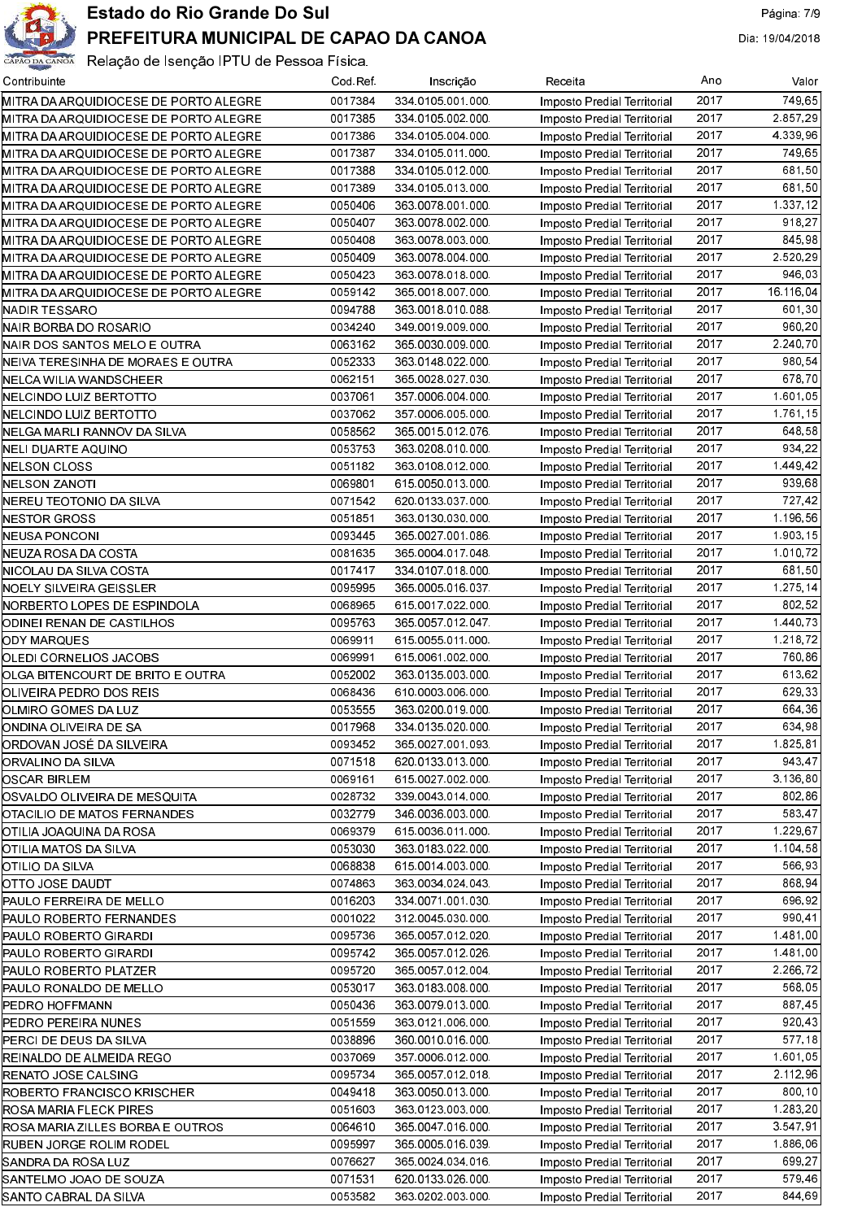

| Contribuinte                          | Cod Ref | Inscrição        | Receita                     | Ano  | Valor       |
|---------------------------------------|---------|------------------|-----------------------------|------|-------------|
| MITRA DA ARQUIDIOCESE DE PORTO ALEGRE | 0017384 | 334 0105 001 000 | Imposto Predial Territorial | 2017 | 749.65      |
| MITRA DA ARQUIDIOCESE DE PORTO ALEGRE | 0017385 | 334 0105 002 000 | Imposto Predial Territorial | 2017 | 2.857,29    |
| MITRA DA ARQUIDIOCESE DE PORTO ALEGRE | 0017386 | 334 0105 004 000 | Imposto Predial Territorial | 2017 | 4.339.96    |
| MITRA DA ARQUIDIOCESE DE PORTO ALEGRE | 0017387 | 334 0105 011 000 | Imposto Predial Territorial | 2017 | 749.65      |
| MITRA DA ARQUIDIOCESE DE PORTO ALEGRE | 0017388 | 334 0105 012 000 | Imposto Predial Territorial | 2017 | 681,50      |
| MITRA DA ARQUIDIOCESE DE PORTO ALEGRE | 0017389 | 334 0105 013 000 | Imposto Predial Territorial | 2017 | 681.50      |
| MITRA DA ARQUIDIOCESE DE PORTO ALEGRE | 0050406 | 363 0078 001 000 | Imposto Predial Territorial | 2017 | 1.337,12    |
| MITRA DA ARQUIDIOCESE DE PORTO ALEGRE | 0050407 | 363 0078 002 000 | Imposto Predial Territorial | 2017 | 918,27      |
| MITRA DA ARQUIDIOCESE DE PORTO ALEGRE | 0050408 | 363 0078 003 000 | Imposto Predial Territorial | 2017 | 845.98      |
| MITRA DA ARQUIDIOCESE DE PORTO ALEGRE | 0050409 | 363 0078 004 000 | Imposto Predial Territorial | 2017 | 2 5 2 0 2 9 |
| MITRA DA ARQUIDIOCESE DE PORTO ALEGRE | 0050423 | 363 0078 018 000 | Imposto Predial Territorial | 2017 | 946.03      |
| MITRA DA ARQUIDIOCESE DE PORTO ALEGRE | 0059142 | 365 0018 007 000 | Imposto Predial Territorial | 2017 | 16.116.04   |
| NADIR TESSARO                         | 0094788 | 363 0018 010 088 | Imposto Predial Territorial | 2017 | 601.30      |
| NAIR BORBA DO ROSARIO                 | 0034240 | 349 0019 009 000 | Imposto Predial Territorial | 2017 | 960,20      |
| NAIR DOS SANTOS MELO E OUTRA          | 0063162 | 365 0030 009 000 | Imposto Predial Territorial | 2017 | 2.240.70    |
| NEIVA TERESINHA DE MORAES E OUTRA     | 0052333 | 363 0148 022 000 | Imposto Predial Territorial | 2017 | 980.54      |
| NELCA WILIA WANDSCHEER                | 0062151 | 365 0028 027 030 | Imposto Predial Territorial | 2017 | 678.70      |
| NELCINDO LUIZ BERTOTTO                | 0037061 | 357 0006 004 000 | Imposto Predial Territorial | 2017 | 1 601 05    |
| NELCINDO LUIZ BERTOTTO                | 0037062 | 357 0006 005 000 | Imposto Predial Territorial | 2017 | 1.761.15    |
| NELGA MARLI RANNOV DA SILVA           | 0058562 | 365 0015 012 076 | Imposto Predial Territorial | 2017 | 648,58      |
| NELI DUARTE AQUINO                    | 0053753 | 363 0208 010 000 | Imposto Predial Territorial | 2017 | 934.22      |
| NELSON CLOSS                          | 0051182 | 363 0108 012 000 | Imposto Predial Territorial | 2017 | 1.449.42    |
| NELSON ZANOTI                         | 0069801 | 615 0050 013 000 | Imposto Predial Territorial | 2017 | 939.68      |
| NEREU TEOTONIO DA SILVA               | 0071542 | 620 0133 037 000 | Imposto Predial Territorial | 2017 | 727,42      |
| NESTOR GROSS                          | 0051851 | 363 0130 030 000 | Imposto Predial Territorial | 2017 | 1.196,56    |
| NEUSA PONCONI                         | 0093445 | 365 0027 001 086 | Imposto Predial Territorial | 2017 | 1.903.15    |
| NEUZA ROSA DA COSTA                   | 0081635 | 365 0004 017 048 | Imposto Predial Territorial | 2017 | 1.010.72    |
| NICOLAU DA SILVA COSTA                | 0017417 | 334 0107 018 000 | Imposto Predial Territorial | 2017 | 681.50      |
| NOELY SILVEIRA GEISSLER               | 0095995 | 365 0005 016 037 | Imposto Predial Territorial | 2017 | 1.275.14    |
| NORBERTO LOPES DE ESPINDOLA           | 0068965 | 615 0017 022 000 | Imposto Predial Territorial | 2017 | 802.52      |
| ODINEI RENAN DE CASTILHOS             | 0095763 | 365 0057 012 047 | Imposto Predial Territorial | 2017 | 1 440 73    |
| ODY MARQUES                           | 0069911 | 615 0055 011 000 | Imposto Predial Territorial | 2017 | 1.218.72    |
| OLEDI CORNELIOS JACOBS                | 0069991 | 615 0061 002 000 | Imposto Predial Territorial | 2017 | 760.86      |
| OLGA BITENCOURT DE BRITO E OUTRA      | 0052002 | 363 0135 003 000 | Imposto Predial Territorial | 2017 | 613,62      |
| OLIVEIRA PEDRO DOS REIS               | 0068436 | 610 0003 006 000 | Imposto Predial Territorial | 2017 | 629.33      |
| OLMIRO GOMES DA LUZ                   | 0053555 | 363 0200 019 000 | Imposto Predial Territorial | 2017 | 664.36      |
| ONDINA OLIVEIRA DE SA                 | 0017968 | 334 0135 020 000 | Imposto Predial Territorial | 2017 | 634.98      |
| ORDOVAN JOSÉ DA SILVEIRA              | 0093452 | 365 0027 001 093 | Imposto Predial Territorial | 2017 | 1 825 81    |
| ORVALINO DA SILVA                     | 0071518 | 620 0133 013 000 | Imposto Predial Territorial | 2017 | 943.47      |
| OSCAR BIRLEM                          | 0069161 | 615 0027 002 000 | Imposto Predial Territorial | 2017 | 3 136,80    |
| OSVALDO OLIVEIRA DE MESQUITA          | 0028732 | 339 0043 014 000 | Imposto Predial Territorial | 2017 | 802.86      |
| OTACILIO DE MATOS FERNANDES           | 0032779 | 346 0036 003 000 | Imposto Predial Territorial | 2017 | 583.47      |
| OTILIA JOAQUINA DA ROSA               | 0069379 | 615 0036 011 000 | Imposto Predial Territorial | 2017 | 1.229.67    |
| OTILIA MATOS DA SILVA                 | 0053030 | 363 0183 022 000 | Imposto Predial Territorial | 2017 | 1.104.58    |
| OTILIO DA SILVA                       | 0068838 | 615 0014 003 000 | Imposto Predial Territorial | 2017 | 566.93      |
| OTTO JOSE DAUDT                       | 0074863 | 363 0034 024 043 | Imposto Predial Territorial | 2017 | 868.94      |
| PAULO FERREIRA DE MELLO               | 0016203 | 334 0071 001 030 | Imposto Predial Territorial | 2017 | 696.92      |
| PAULO ROBERTO FERNANDES               | 0001022 | 312 0045 030 000 | Imposto Predial Territorial | 2017 | 990.41      |
| PAULO ROBERTO GIRARDI                 | 0095736 | 365 0057 012 020 | Imposto Predial Territorial | 2017 | 1481.00     |
| PAULO ROBERTO GIRARDI                 | 0095742 | 365 0057 012 026 | Imposto Predial Territorial | 2017 | 1.481.00    |
| PAULO ROBERTO PLATZER                 | 0095720 | 365 0057 012 004 | Imposto Predial Territorial | 2017 | 2 2 6 7 2   |
| PAULO RONALDO DE MELLO                | 0053017 | 363 0183 008 000 | Imposto Predial Territorial | 2017 | 568.05      |
| <b>PEDRO HOFFMANN</b>                 | 0050436 | 363 0079 013 000 | Imposto Predial Territorial | 2017 | 887,45      |
| PEDRO PEREIRA NUNES                   | 0051559 | 363 0121 006 000 | Imposto Predial Territorial | 2017 | 920.43      |
| PERCI DE DEUS DA SILVA                | 0038896 | 360 0010 016 000 | Imposto Predial Territorial | 2017 | 577.18      |
| REINALDO DE ALMEIDA REGO              | 0037069 | 357 0006 012 000 | Imposto Predial Territorial | 2017 | 1 601 05    |
| RENATO JOSE CALSING                   | 0095734 | 365 0057 012 018 | Imposto Predial Territorial | 2017 | 2.112.96    |
| ROBERTO FRANCISCO KRISCHER            | 0049418 | 363 0050 013 000 | Imposto Predial Territorial | 2017 | 800, 10     |
| ROSA MARIA FLECK PIRES                | 0051603 | 363 0123 003 000 | Imposto Predial Territorial | 2017 | 1.283,20    |
| ROSA MARIA ZILLES BORBA E OUTROS      | 0064610 | 365 0047 016 000 | Imposto Predial Territorial | 2017 | 3.547.91    |
| RUBEN JORGE ROLIM RODEL               | 0095997 | 365 0005 016 039 | Imposto Predial Territorial | 2017 | 1.886.06    |
| SANDRA DA ROSA LUZ                    | 0076627 | 365 0024 034 016 | Imposto Predial Territorial | 2017 | 699.27      |
| SANTELMO JOAO DE SOUZA                | 0071531 | 620 0133 026 000 | Imposto Predial Territorial | 2017 | 579.46      |
| SANTO CABRAL DA SILVA                 | 0053582 | 363 0202 003 000 | Imposto Predial Territorial | 2017 | 844.69      |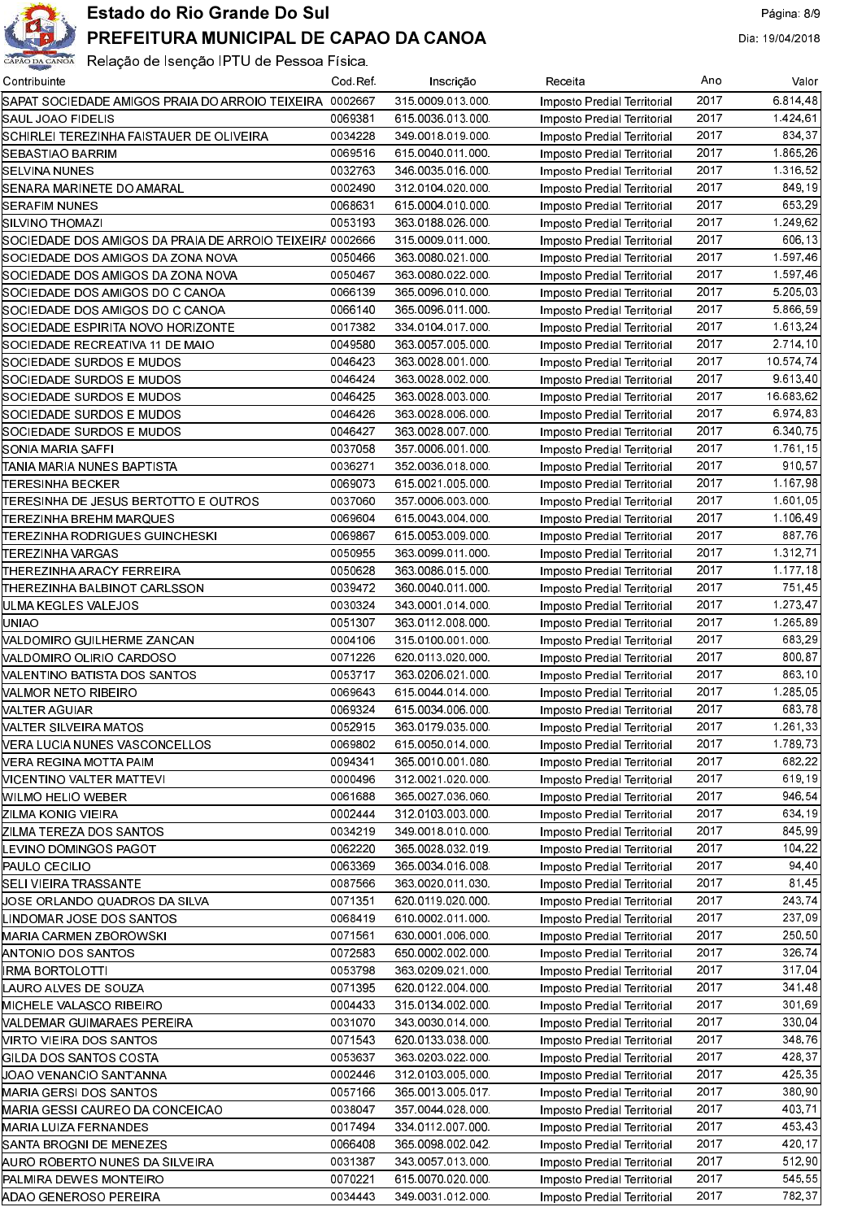

## Estado do Rio Grande Do Sul

## PREFEITURA MUNICIPAL DE CAPAO DA CANOA

| Contribuinte                                              | Cod Ref | Inscrição        | Receita                                                    | Ano  | Valor     |
|-----------------------------------------------------------|---------|------------------|------------------------------------------------------------|------|-----------|
| SAPAT SOCIEDADE AMIGOS PRAIA DO ARROIO TEIXEIRA 0002667   |         | 315 0009 013 000 | Imposto Predial Territorial                                | 2017 | 6.814,48  |
| SAUL JOAO FIDELIS                                         | 0069381 | 615 0036 013 000 | Imposto Predial Territorial                                | 2017 | 1 424 61  |
| SCHIRLEI TEREZINHA FAISTAUER DE OLIVEIRA                  | 0034228 | 349 0018 019 000 | Imposto Predial Territorial                                | 2017 | 834.37    |
| SEBASTIAO BARRIM                                          | 0069516 | 615 0040 011 000 | Imposto Predial Territorial                                | 2017 | 1 865 26  |
| SELVINA NUNES                                             | 0032763 | 346 0035 016 000 | Imposto Predial Territorial                                | 2017 | 1 316 52  |
| SENARA MARINETE DO AMARAL                                 | 0002490 | 312 0104 020 000 | Imposto Predial Territorial                                | 2017 | 849.19    |
| SERAFIM NUNES                                             | 0068631 | 615 0004 010 000 | Imposto Predial Territorial                                | 2017 | 653.29    |
| <b>SILVINO THOMAZI</b>                                    | 0053193 | 363 0188 026 000 | Imposto Predial Territorial                                | 2017 | 1.249,62  |
| SOCIEDADE DOS AMIGOS DA PRAIA DE ARROIO TEIXEIR/ 0002666  |         | 315 0009 011 000 | Imposto Predial Territorial                                | 2017 | 606.13    |
| SOCIEDADE DOS AMIGOS DA ZONA NOVA                         | 0050466 | 363 0080 021 000 | Imposto Predial Territorial                                | 2017 | 1.597,46  |
| SOCIEDADE DOS AMIGOS DA ZONA NOVA                         | 0050467 | 363 0080 022 000 | Imposto Predial Territorial                                | 2017 | 1.597,46  |
| SOCIEDADE DOS AMIGOS DO C CANOA                           | 0066139 | 365 0096 010 000 | Imposto Predial Territorial                                | 2017 | 5.205,03  |
| SOCIEDADE DOS AMIGOS DO C CANOA                           | 0066140 | 365 0096 011 000 | Imposto Predial Territorial                                | 2017 | 5 866 59  |
| SOCIEDADE ESPIRITA NOVO HORIZONTE                         | 0017382 | 334 0104 017 000 | Imposto Predial Territorial                                | 2017 | 1.613.24  |
| SOCIEDADE RECREATIVA 11 DE MAIO                           | 0049580 | 363 0057 005 000 | Imposto Predial Territorial                                | 2017 | 2.714,10  |
| SOCIEDADE SURDOS E MUDOS                                  | 0046423 | 363 0028 001 000 | Imposto Predial Territorial                                | 2017 | 10 574 74 |
| SOCIEDADE SURDOS E MUDOS                                  | 0046424 | 363 0028 002 000 | Imposto Predial Territorial                                | 2017 | 9 613 40  |
| SOCIEDADE SURDOS E MUDOS                                  | 0046425 | 363 0028 003 000 | Imposto Predial Territorial                                | 2017 | 16.683,62 |
| SOCIEDADE SURDOS E MUDOS                                  | 0046426 | 363 0028 006 000 | Imposto Predial Territorial                                | 2017 | 6.974,83  |
| SOCIEDADE SURDOS E MUDOS                                  | 0046427 | 363 0028 007 000 | Imposto Predial Territorial                                | 2017 | 6 340 75  |
| SONIA MARIA SAFFI                                         | 0037058 | 357 0006 001 000 | Imposto Predial Territorial                                | 2017 | 1.761,15  |
| ITANIA MARIA NUNES BAPTISTA                               | 0036271 | 352 0036 018 000 | Imposto Predial Territorial                                | 2017 | 910.57    |
| TERESINHA BECKER                                          | 0069073 | 615 0021 005 000 | Imposto Predial Territorial                                | 2017 | 1.167,98  |
| TERESINHA DE JESUS BERTOTTO E OUTROS                      | 0037060 | 357 0006 003 000 | Imposto Predial Territorial                                | 2017 | 1.601,05  |
| TEREZINHA BREHM MARQUES                                   | 0069604 | 615 0043 004 000 | Imposto Predial Territorial                                | 2017 | 1.106,49  |
| ITEREZINHA RODRIGUES GUINCHESKI                           | 0069867 | 615 0053 009 000 | Imposto Predial Territorial                                | 2017 | 887,76    |
| TEREZINHA VARGAS                                          | 0050955 | 363 0099 011 000 | Imposto Predial Territorial                                | 2017 | 1.312,71  |
| THEREZINHA ARACY FERREIRA                                 | 0050628 | 363 0086 015 000 | Imposto Predial Territorial                                | 2017 | 1.177.18  |
| THEREZINHA BALBINOT CARLSSON                              | 0039472 | 360 0040 011 000 | Imposto Predial Territorial                                | 2017 | 751.45    |
| ULMA KEGLES VALEJOS                                       | 0030324 | 343 0001 014 000 | Imposto Predial Territorial                                | 2017 | 1.273,47  |
| UNIAO                                                     | 0051307 | 363 0112 008 000 | Imposto Predial Territorial                                | 2017 | 1.265.89  |
| NALDOMIRO GUILHERME ZANCAN                                | 0004106 | 315 0100 001 000 | Imposto Predial Territorial                                | 2017 | 683,29    |
| NALDOMIRO OLIRIO CARDOSO                                  | 0071226 | 620 0113 020 000 | Imposto Predial Territorial                                | 2017 | 800.87    |
| MALENTINO BATISTA DOS SANTOS                              | 0053717 | 363 0206 021 000 | Imposto Predial Territorial                                | 2017 | 863.10    |
| VALMOR NETO RIBEIRO                                       | 0069643 | 615 0044 014 000 | Imposto Predial Territorial                                | 2017 | 1.285.05  |
| VALTER AGUIAR                                             | 0069324 | 615 0034 006 000 | Imposto Predial Territorial                                | 2017 | 683.78    |
| VALTER SILVEIRA MATOS                                     | 0052915 | 363 0179 035 000 | Imposto Predial Territorial                                | 2017 | 1.261,33  |
| <b>NERA LUCIA NUNES VASCONCELLOS</b>                      | 0069802 | 615 0050 014 000 | Imposto Predial Territorial                                | 2017 | 1.789.73  |
| VERA REGINA MOTTA PAIM                                    | 0094341 | 365 0010 001 080 | Imposto Predial Territorial                                | 2017 | 682,22    |
| VICENTINO VALTER MATTEVI                                  | 0000496 | 312 0021 020 000 | Imposto Predial Territorial                                | 2017 | 619.19    |
| MILMO HELIO WEBER                                         | 0061688 | 365 0027 036 060 | Imposto Predial Territorial                                | 2017 | 946.54    |
| ZILMA KONIG VIEIRA                                        | 0002444 | 312 0103 003 000 | Imposto Predial Territorial                                | 2017 | 634.19    |
| ZILMA TEREZA DOS SANTOS                                   | 0034219 | 349 0018 010 000 | Imposto Predial Territorial                                | 2017 | 845.99    |
| LEVINO DOMINGOS PAGOT                                     | 0062220 | 365 0028 032 019 | Imposto Predial Territorial                                | 2017 | 104.22    |
| PAULO CECILIO                                             | 0063369 | 365 0034 016 008 | Imposto Predial Territorial                                | 2017 | 94.40     |
| SELI VIEIRA TRASSANTE                                     | 0087566 | 363 0020 011 030 | Imposto Predial Territorial                                | 2017 | 81,45     |
| µOSE ORLANDO QUADROS DA SILVA                             | 0071351 | 620 0119 020 000 | Imposto Predial Territorial                                | 2017 | 243,74    |
| LINDOMAR JOSE DOS SANTOS                                  | 0068419 | 610 0002 011 000 | Imposto Predial Territorial                                | 2017 | 237,09    |
| MARIA CARMEN ZBOROWSKI                                    | 0071561 | 630 0001 006 000 | Imposto Predial Territorial                                | 2017 | 250.50    |
| <b>ANTONIO DOS SANTOS</b>                                 | 0072583 | 650 0002 002 000 | Imposto Predial Territorial                                | 2017 | 326.74    |
| <b>IRMA BORTOLOTTI</b>                                    | 0053798 | 363 0209 021 000 | Imposto Predial Territorial                                | 2017 | 317.04    |
| LAURO ALVES DE SOUZA                                      | 0071395 | 620 0122 004 000 | Imposto Predial Territorial                                | 2017 | 341,48    |
| MICHELE VALASCO RIBEIRO                                   | 0004433 | 315 0134 002 000 | Imposto Predial Territorial                                | 2017 | 301.69    |
| NALDEMAR GUIMARAES PEREIRA                                | 0031070 | 343 0030 014 000 | Imposto Predial Territorial                                | 2017 | 330.04    |
| <b>NIRTO VIEIRA DOS SANTOS</b>                            | 0071543 | 620 0133 038 000 | Imposto Predial Territorial                                | 2017 | 348.76    |
| GILDA DOS SANTOS COSTA                                    | 0053637 | 363 0203 022 000 | Imposto Predial Territorial                                | 2017 | 428.37    |
| UOAO VENANCIO SANT'ANNA                                   | 0002446 | 312 0103 005 000 | Imposto Predial Territorial                                | 2017 | 425.35    |
|                                                           | 0057166 | 365 0013 005 017 |                                                            | 2017 | 380.90    |
| MARIA GERSI DOS SANTOS<br>MARIA GESSI CAUREO DA CONCEICAO | 0038047 | 357 0044 028 000 | Imposto Predial Territorial<br>Imposto Predial Territorial | 2017 | 403.71    |
| <b>MARIA LUIZA FERNANDES</b>                              | 0017494 | 334 0112 007 000 | Imposto Predial Territorial                                | 2017 | 453.43    |
| SANTA BROGNI DE MENEZES                                   | 0066408 | 365 0098 002 042 | Imposto Predial Territorial                                | 2017 | 420.17    |
| AURO ROBERTO NUNES DA SILVEIRA                            | 0031387 | 343 0057 013 000 | Imposto Predial Territorial                                | 2017 | 512.90    |
| PALMIRA DEWES MONTEIRO                                    | 0070221 | 615 0070 020 000 | Imposto Predial Territorial                                | 2017 | 545.55    |
| ADAO GENEROSO PEREIRA                                     | 0034443 | 349 0031 012 000 | Imposto Predial Territorial                                | 2017 | 782,37    |
|                                                           |         |                  |                                                            |      |           |